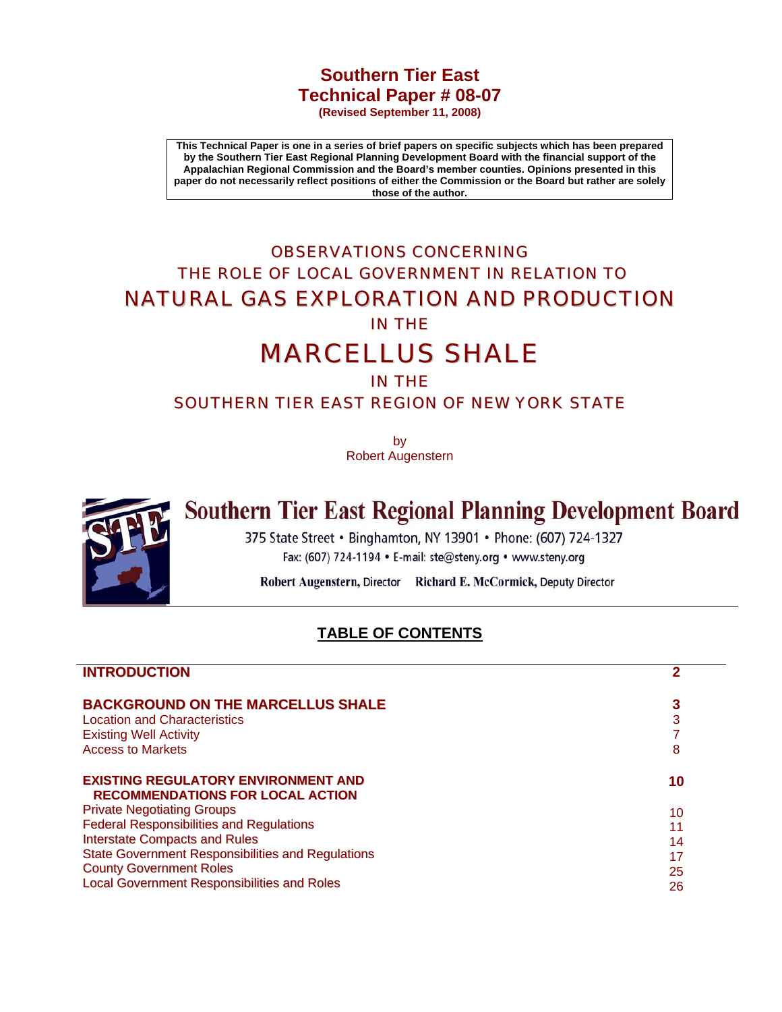### **Southern Tier East Technical Paper # 08-07**

**(Revised September 11, 2008)** 

**This Technical Paper is one in a series of brief papers on specific subjects which has been prepared by the Southern Tier East Regional Planning Development Board with the financial support of the Appalachian Regional Commission and the Board's member counties. Opinions presented in this paper do not necessarily reflect positions of either the Commission or the Board but rather are solely those of the author.** 

## OBSERVATIONS CONCERNING THE ROLE OF LOCAL GOVERNMENT IN RELATION TO NATURAL GAS EXPLORATION AND PRODUCTION IN THE

# MARCELLUS SHALE

IN THE

### SOUTHERN TIER EAST REGION OF NEW YORK STATE

by Robert Augenstern



# **Southern Tier East Regional Planning Development Board**

375 State Street • Binghamton, NY 13901 • Phone: (607) 724-1327 Fax: (607) 724-1194 • E-mail: ste@steny.org • www.steny.org

Robert Augenstern, Director Richard E. McCormick, Deputy Director

### **TABLE OF CONTENTS**

| <b>INTRODUCTION</b>                                                                   |    |
|---------------------------------------------------------------------------------------|----|
| <b>BACKGROUND ON THE MARCELLUS SHALE</b>                                              |    |
| <b>Location and Characteristics</b>                                                   |    |
| <b>Existing Well Activity</b>                                                         |    |
| <b>Access to Markets</b>                                                              | 8  |
| <b>EXISTING REGULATORY ENVIRONMENT AND</b><br><b>RECOMMENDATIONS FOR LOCAL ACTION</b> | 10 |
| <b>Private Negotiating Groups</b>                                                     | 10 |
| <b>Federal Responsibilities and Regulations</b>                                       | 11 |
| <b>Interstate Compacts and Rules</b>                                                  | 14 |
| <b>State Government Responsibilities and Regulations</b>                              | 17 |
| <b>County Government Roles</b>                                                        | 25 |
| <b>Local Government Responsibilities and Roles</b>                                    | 26 |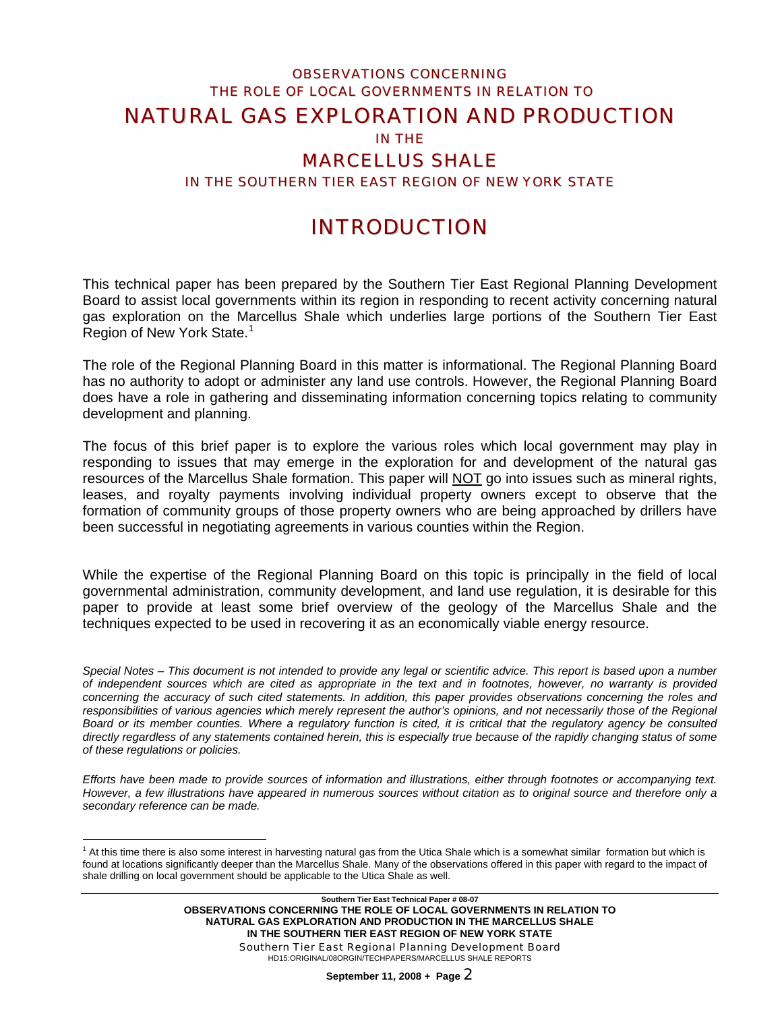### OBSERVATIONS CONCERNING THE ROLE OF LOCAL GOVERNMENTS IN RELATION TO NATURAL GAS EXPLORATION AND PRODUCTION

IN THE

### MARCELLUS SHALE

IN THE SOUTHERN TIER EAST REGION OF NEW YORK STATE

# INTRODUCTION

This technical paper has been prepared by the Southern Tier East Regional Planning Development Board to assist local governments within its region in responding to recent activity concerning natural gas exploration on the Marcellus Shale which underlies large portions of the Southern Tier East Region of New York State.<sup>[1](#page-1-0)</sup>

The role of the Regional Planning Board in this matter is informational. The Regional Planning Board has no authority to adopt or administer any land use controls. However, the Regional Planning Board does have a role in gathering and disseminating information concerning topics relating to community development and planning.

The focus of this brief paper is to explore the various roles which local government may play in responding to issues that may emerge in the exploration for and development of the natural gas resources of the Marcellus Shale formation. This paper will NOT go into issues such as mineral rights, leases, and royalty payments involving individual property owners except to observe that the formation of community groups of those property owners who are being approached by drillers have been successful in negotiating agreements in various counties within the Region.

While the expertise of the Regional Planning Board on this topic is principally in the field of local governmental administration, community development, and land use regulation, it is desirable for this paper to provide at least some brief overview of the geology of the Marcellus Shale and the techniques expected to be used in recovering it as an economically viable energy resource.

*Special Notes – This document is not intended to provide any legal or scientific advice. This report is based upon a number of independent sources which are cited as appropriate in the text and in footnotes, however, no warranty is provided concerning the accuracy of such cited statements. In addition, this paper provides observations concerning the roles and*  responsibilities of various agencies which merely represent the author's opinions, and not necessarily those of the Regional *Board or its member counties. Where a regulatory function is cited, it is critical that the regulatory agency be consulted directly regardless of any statements contained herein, this is especially true because of the rapidly changing status of some of these regulations or policies.* 

*Efforts have been made to provide sources of information and illustrations, either through footnotes or accompanying text. However, a few illustrations have appeared in numerous sources without citation as to original source and therefore only a secondary reference can be made.* 

<span id="page-1-0"></span> $^1$  At this time there is also some interest in harvesting natural gas from the Utica Shale which is a somewhat similar formation but which is found at locations significantly deeper than the Marcellus Shale. Many of the observations offered in this paper with regard to the impact of shale drilling on local government should be applicable to the Utica Shale as well.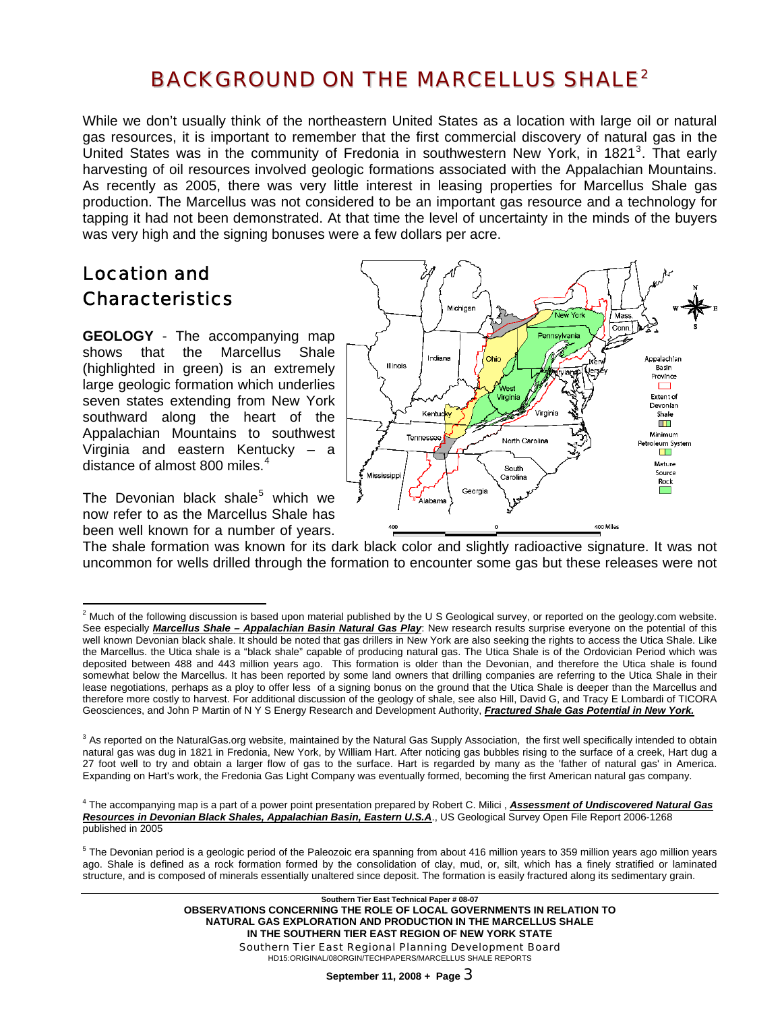# BACKGROUND ON THE MARCELLUS SHALE<sup>[2](#page-2-0)</sup>

While we don't usually think of the northeastern United States as a location with large oil or natural gas resources, it is important to remember that the first commercial discovery of natural gas in the United States was in the community of Fredonia in southwestern New York, in 1821<sup>[3](#page-2-1)</sup>. That early harvesting of oil resources involved geologic formations associated with the Appalachian Mountains. As recently as 2005, there was very little interest in leasing properties for Marcellus Shale gas production. The Marcellus was not considered to be an important gas resource and a technology for tapping it had not been demonstrated. At that time the level of uncertainty in the minds of the buyers was very high and the signing bonuses were a few dollars per acre.

## Location and Characteristics

**GEOLOGY** - The accompanying map shows that the Marcellus Shale (highlighted in green) is an extremely large geologic formation which underlies seven states extending from New York southward along the heart of the Appalachian Mountains to southwest Virginia and eastern Kentucky – a distance of almost 800 miles.<sup>[4](#page-2-2)</sup>

The Devonian black shale<sup>[5](#page-2-3)</sup> which we now refer to as the Marcellus Shale has been well known for a number of years.



The shale formation was known for its dark black color and slightly radioactive signature. It was not uncommon for wells drilled through the formation to encounter some gas but these releases were not

<span id="page-2-2"></span>4 The accompanying map is a part of a power point presentation prepared by Robert C. Milici , *Assessment of Undiscovered Natural Gas Resources in Devonian Black Shales, Appalachian Basin, Eastern U.S.A*., US Geological Survey Open File Report 2006-1268 published in 2005

<span id="page-2-3"></span><sup>5</sup> The Devonian period is a geologic period of the Paleozoic era spanning from about 416 million years to 359 million years ago million years ago. Shale is defined as a rock formation formed by the consolidation of clay, mud, or, silt, which has a finely stratified or laminated structure, and is composed of minerals essentially unaltered since deposit. The formation is easily fractured along its sedimentary grain.

<span id="page-2-0"></span> $\overline{a}$  $^2$  Much of the following discussion is based upon material published by the U S Geological survey, or reported on the geology.com website. See especially *Marcellus Shale – Appalachian Basin Natural Gas Play*: New research results surprise everyone on the potential of this well known Devonian black shale. It should be noted that gas drillers in New York are also seeking the rights to access the Utica Shale. Like the Marcellus. the Utica shale is a "black shale" capable of producing natural gas. The Utica Shale is of the Ordovician Period which was deposited between 488 and 443 million years ago. This formation is older than the Devonian, and therefore the Utica shale is found somewhat below the Marcellus. It has been reported by some land owners that drilling companies are referring to the Utica Shale in their lease negotiations, perhaps as a ploy to offer less of a signing bonus on the ground that the Utica Shale is deeper than the Marcellus and therefore more costly to harvest. For additional discussion of the geology of shale, see also Hill, David G, and Tracy E Lombardi of TICORA Geosciences, and John P Martin of N Y S Energy Research and Development Authority, *Fractured Shale Gas Potential in New York.*

<span id="page-2-1"></span> $3$  As reported on the NaturalGas.org website, maintained by the Natural Gas Supply Association, the first well specifically intended to obtain natural gas was dug in 1821 in Fredonia, New York, by William Hart. After noticing gas bubbles rising to the surface of a creek, Hart dug a 27 foot well to try and obtain a larger flow of gas to the surface. Hart is regarded by many as the 'father of natural gas' in America. Expanding on Hart's work, the Fredonia Gas Light Company was eventually formed, becoming the first American natural gas company.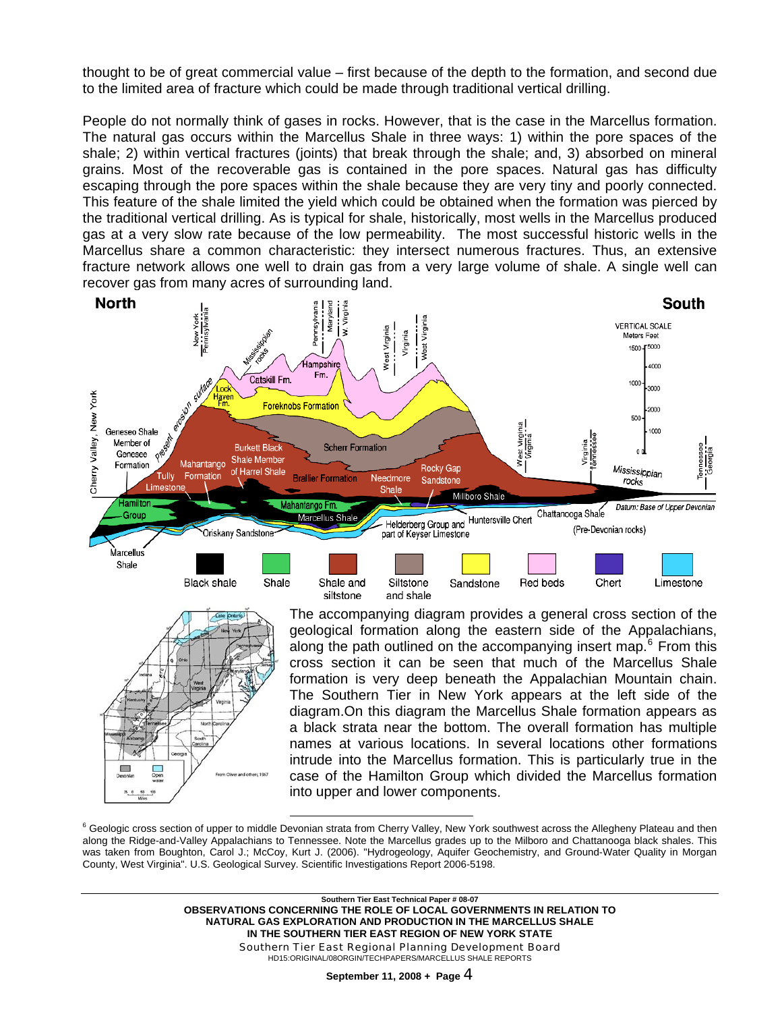thought to be of great commercial value – first because of the depth to the formation, and second due to the limited area of fracture which could be made through traditional vertical drilling.

People do not normally think of gases in rocks. However, that is the case in the Marcellus formation. The natural gas occurs within the Marcellus Shale in three ways: 1) within the pore spaces of the shale; 2) within vertical fractures (joints) that break through the shale; and, 3) absorbed on mineral grains. Most of the recoverable gas is contained in the pore spaces. Natural gas has difficulty escaping through the pore spaces within the shale because they are very tiny and poorly connected. This feature of the shale limited the yield which could be obtained when the formation was pierced by the traditional vertical drilling. As is typical for shale, historically, most wells in the Marcellus produced gas at a very slow rate because of the low permeability. The most successful historic wells in the Marcellus share a common characteristic: they intersect numerous fractures. Thus, an extensive fracture network allows one well to drain gas from a very large volume of shale. A single well can [recover gas from many acres of surrounding land.](http://en.wikipedia.org/wiki/Image:Geologic_cross_section_of_Devonian_strata_from_New_York_to_Alabama.svg) 





into upper and lower components. The accompanying diagram provides a general cross section of the geological formation along the eastern side of the Appalachians, along the path outlined on the accompanying insert map.<sup>[6](#page-3-0)</sup> From this cross section it can be seen that much of the Marcellus Shale formation is very deep beneath the Appalachian Mountain chain. The Southern Tier in New York appears at the left side of the diagram.On this diagram the Marcellus Shale formation appears as a black strata near the bottom. The overall formation has multiple names at various locations. In several locations other formations intrude into the Marcellus formation. This is particularly true in the case of the Hamilton Group which divided the Marcellus formation

<span id="page-3-0"></span><sup>6</sup> Geologic cross section of upper to middle Devonian strata from [Cherry Valley](http://en.wikipedia.org/wiki/Cherry_Valley_%28town%29%2C_New_York), [New York](http://en.wikipedia.org/wiki/New_York) southwest across the [Allegheny Plateau](http://en.wikipedia.org/wiki/Allegheny_Plateau) and then along the [Ridge-and-Valley Appalachians](http://en.wikipedia.org/wiki/Ridge-and-Valley_Appalachians) to [Tennessee](http://en.wikipedia.org/wiki/Tennessee). Note the Marcellus grades up to the Milboro and Chattanooga black shales. This was taken from Boughton, Carol J.; McCoy, Kurt J. (2006). "Hydrogeology, Aquifer Geochemistry, and Ground-Water Quality in Morgan County, West Virginia". U.S. Geological Survey. Scientific Investigations Report 2006-5198.

1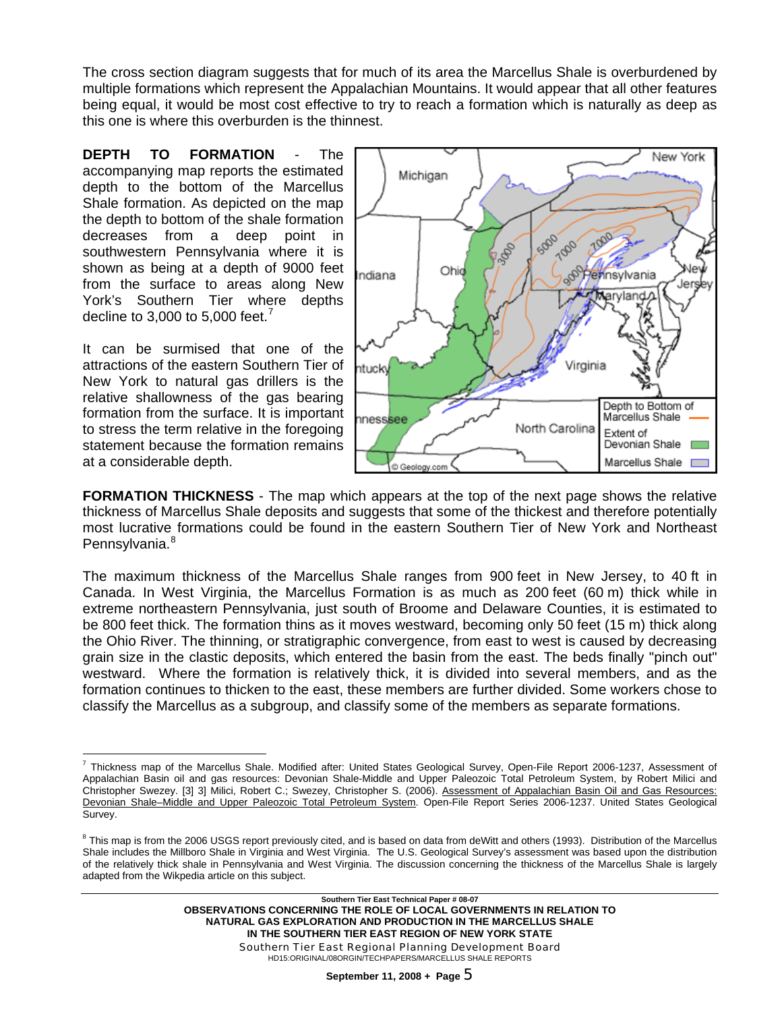The cross section diagram suggests that for much of its area the Marcellus Shale is overburdened by multiple formations which represent the Appalachian Mountains. It would appear that all other features being equal, it would be most cost effective to try to reach a formation which is naturally as deep as this one is where this overburden is the thinnest.

**DEPTH TO FORMATION** - The accompanying map reports the estimated depth to the bottom of the Marcellus Shale formation. As depicted on the map the depth to bottom of the shale formation decreases from a deep point in southwestern Pennsylvania where it is shown as being at a depth of 9000 feet from the surface to areas along New York's Southern Tier wh[ere](#page-4-0) depths decline to 3,000 to 5,000 feet.<sup>[7](#page-4-0)</sup>

It can be surmised that one of the attractions of the eastern Southern Tier of New York to natural gas drillers is the relative shallowness of the gas bearing formation from the surface. It is important to stress the term relative in the foregoing statement because the formation remains at a considerable depth.



**FORMATION THICKNESS** - The map which appears at the top of the next page shows the relative thickness of Marcellus Shale deposits and suggests that some of the thickest and therefore potentially most lucrative formations could be found in the eastern Southern Tier of New York and Northeast Pennsylvania.<sup>[8](#page-4-1)</sup>

The maximum thickness of the Marcellus Shale ranges from 900 feet in New Jersey, to 40 ft in Canada. In West Virginia, the Marcellus Formation is as much as 200 feet (60 m) thick while in extreme northeastern Pennsylvania, just south of Broome and Delaware Counties, it is estimated to be 800 feet thick. The formation thins as it moves westward, becoming only 50 feet (15 m) thick along the [Ohio River.](http://en.wikipedia.org/wiki/Ohio_River) The thinning, or [stratigraphic](http://en.wikipedia.org/wiki/Stratigraphy) convergence, from east to west is caused by decreasing grain size in the [clastic](http://en.wikipedia.org/wiki/Clastic_rock) deposits, which entered the basin from the east. The beds finally "pinch out" westward. Where the formation is relatively thick, it is divided into several members, and as the formation continues to thicken to the east, these members are further divided. Some workers chose to classify the Marcellus as a subgroup, and classify some of the members as separate formations.

<span id="page-4-0"></span> $\overline{a}$ <sup>7</sup> Thickness map of the Marcellus Shale. Modified after: United States Geological Survey, Open-File Report 2006-1237, Assessment of Appalachian Basin oil and gas resources: Devonian Shale-Middle and Upper Paleozoic Total Petroleum System, by Robert Milici and Christopher Swezey. [3] 3] Milici, Robert C.; Swezey, Christopher S. (2006). [Assessment of Appalachian Basin Oil and Gas Resources:](http://pubs.usgs.gov/of/2006/1237/)  [Devonian Shale–Middle and Upper Paleozoic Total Petroleum System.](http://pubs.usgs.gov/of/2006/1237/) Open-File Report Series 2006-1237. United States Geological Survey.

<span id="page-4-1"></span><sup>&</sup>lt;sup>8</sup> This map is from the 2006 USGS report previously cited, and is based on data from deWitt and others (1993). Distribution of the Marcellus Shale includes the Millboro Shale in Virginia and West Virginia. The U.S. Geological Survey's assessment was based upon the distribution of the relatively thick shale in Pennsylvania and West Virginia. The discussion concerning the thickness of the Marcellus Shale is largely adapted from the Wikpedia article on this subject.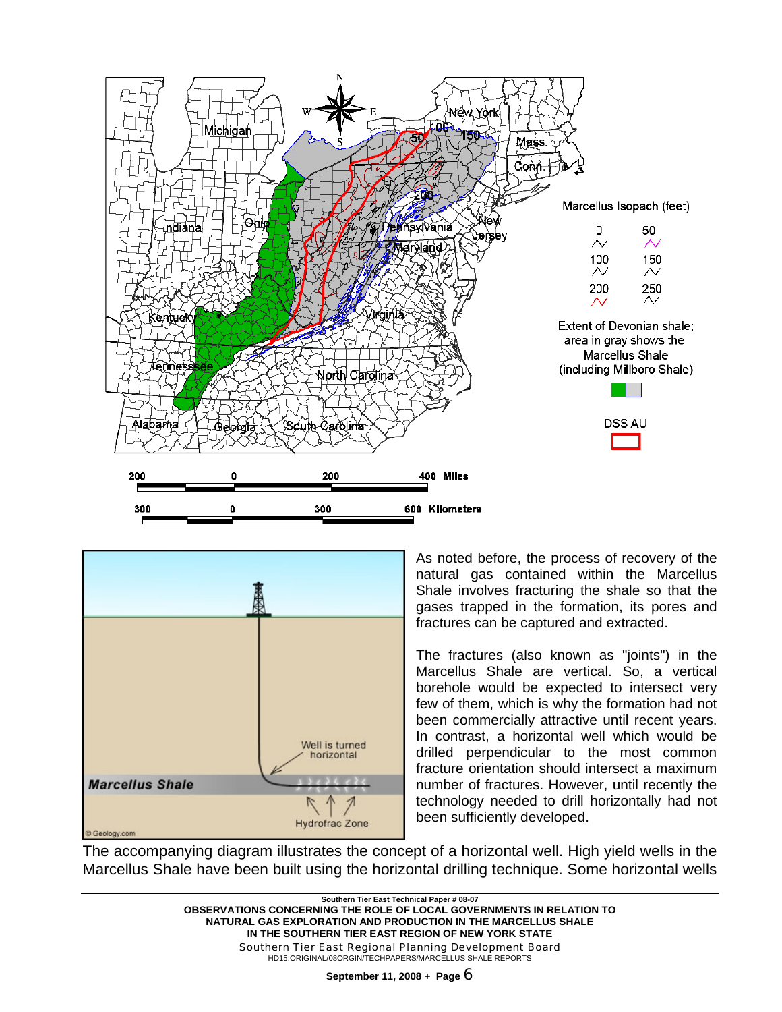



fractures can be captured and extracted. As noted before, the process of recovery of the natural gas contained within the Marcellus Shale involves fracturing the shale so that the gases trapped in the formation, its pores and

The fractures (also known as "joints") in the Marcellus Shale are vertical. So, a vertical borehole would be expected to intersect very few of them, which is why the formation had not been commercially attractive until recent years. In contrast, a horizontal well which would be drilled perpendicular to the most common fracture orientation should intersect a maximum number of fractures. However, until recently the technology needed to drill horizontally had not been sufficiently developed.

The accompanying diagram illustrates the concept of a horizontal well. High yield wells in the Marcellus Shale have been built using the horizontal drilling technique. Some horizontal wells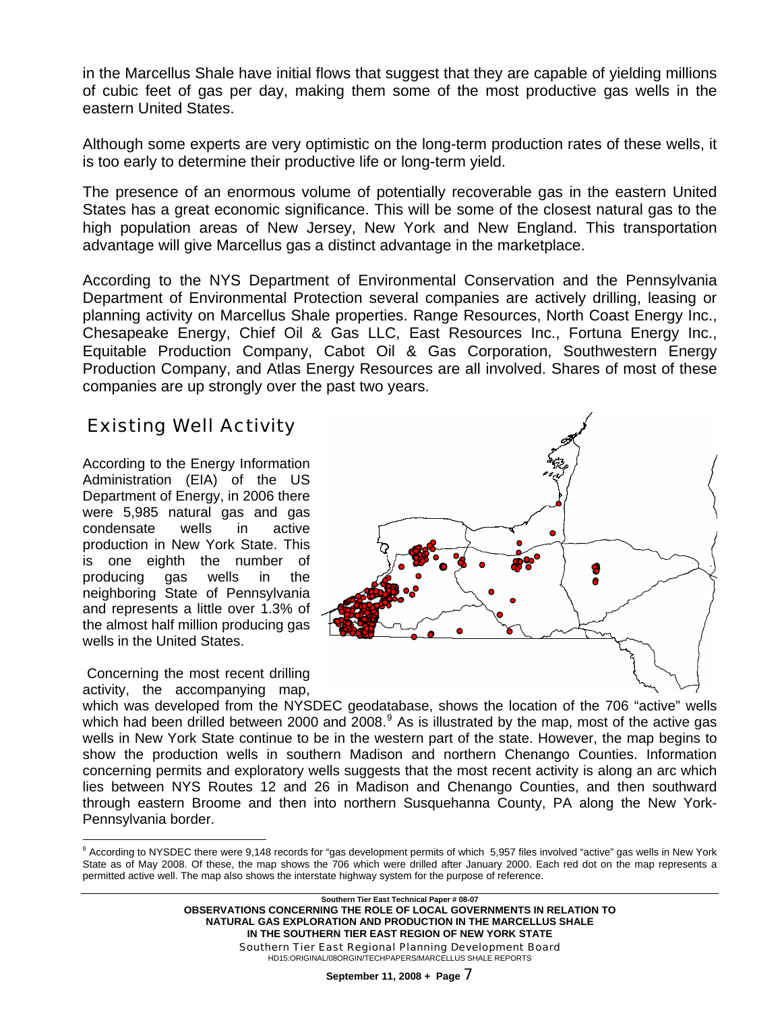in the Marcellus Shale have initial flows that suggest that they are capable of yielding millions of cubic feet of gas per day, making them some of the most productive gas wells in the eastern United States.

Although some experts are very optimistic on the long-term production rates of these wells, it is too early to determine their productive life or long-term yield.

The presence of an enormous volume of potentially recoverable gas in the eastern United States has a great economic significance. This will be some of the closest natural gas to the high population areas of New Jersey, New York and New England. This transportation advantage will give Marcellus gas a distinct advantage in the marketplace.

According to the NYS Department of Environmental Conservation and the Pennsylvania Department of Environmental Protection several companies are actively drilling, leasing or planning activity on Marcellus Shale properties. Range Resources, North Coast Energy Inc., Chesapeake Energy, Chief Oil & Gas LLC, East Resources Inc., Fortuna Energy Inc., Equitable Production Company, Cabot Oil & Gas Corporation, Southwestern Energy Production Company, and Atlas Energy Resources are all involved. Shares of most of these companies are up strongly over the past two years.

## Existing Well Activity

According to the Energy Information Administration (EIA) of the US Department of Energy, in 2006 there were 5,985 natural gas and gas condensate wells in active production in New York State. This is one eighth the number of producing gas wells in the neighboring State of Pennsylvania and represents a little over 1.3% of the almost half million producing gas wells in the United States.





which was developed from the NYSDEC geodatabase, shows the location of the 706 "active" wells which had been drilled between 2000 and 2008. $9$  As is illustrated by the map, most of the active gas wells in New York State continue to be in the western part of the state. However, the map begins to show the production wells in southern Madison and northern Chenango Counties. Information concerning permits and exploratory wells suggests that the most recent activity is along an arc which lies between NYS Routes 12 and 26 in Madison and Chenango Counties, and then southward through eastern Broome and then into northern Susquehanna County, PA along the New York-Pennsylvania border.

<span id="page-6-0"></span> 9 According to NYSDEC there were 9,148 records for "gas development permits of which 5,957 files involved "active" gas wells in New York State as of May 2008. Of these, the map shows the 706 which were drilled after January 2000. Each red dot on the map represents a permitted active well. The map also shows the interstate highway system for the purpose of reference.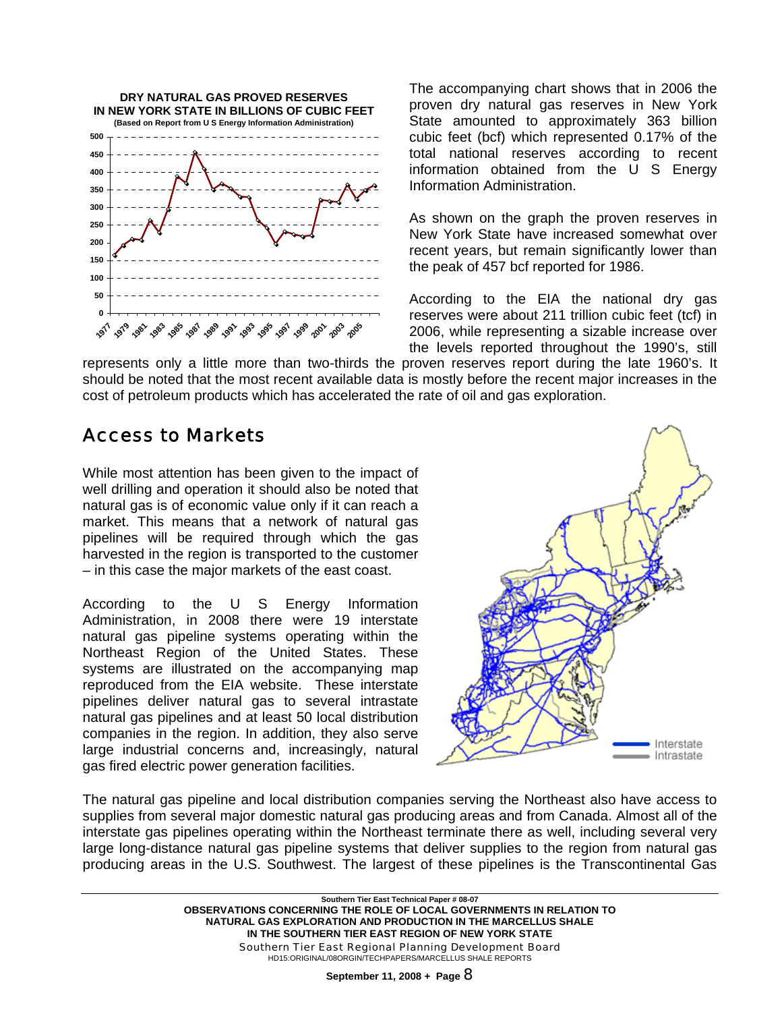

The accompanying chart shows that in 2006 the proven dry natural gas reserves in New York State amounted to approximately 363 billion cubic feet (bcf) which represented 0.17% of the total national reserves according to recent information obtained from the U S Energy Information Administration.

As shown on the graph the proven reserves in New York State have increased somewhat over recent years, but remain significantly lower than the peak of 457 bcf reported for 1986.

According to the EIA the national dry gas reserves were about 211 trillion cubic feet (tcf) in 2006, while representing a sizable increase over the levels reported throughout the 1990's, still

represents only a little more than two-thirds the proven reserves report during the late 1960's. It should be noted that the most recent available data is mostly before the recent major increases in the cost of petroleum products which has accelerated the rate of oil and gas exploration.

## Access to Markets

While most attention has been given to the impact of well drilling and operation it should also be noted that natural gas is of economic value only if it can reach a market. This means that a network of natural gas pipelines will be required through which the gas harvested in the region is transported to the customer – in this case the major markets of the east coast.

According to the U S Energy Information Administration, in 2008 there were 19 interstate natural gas pipeline systems operating within the Northeast Region of the United States. These systems are illustrated on the accompanying map reproduced from the EIA website. These interstate pipelines deliver natural gas to several intrastate natural gas pipelines and at least 50 local distribution companies in the region. In addition, they also serve large industrial concerns and, increasingly, natural gas fired electric power generation facilities.



The natural gas pipeline and local distribution companies serving the Northeast also have access to supplies from several major domestic natural gas producing areas and from Canada. Almost all of the interstate gas pipelines operating within the Northeast terminate there as well, including several very large long-distance natural gas pipeline systems that deliver supplies to the region from natural gas producing areas in the U.S. Southwest. The largest of these pipelines is the Transcontinental Gas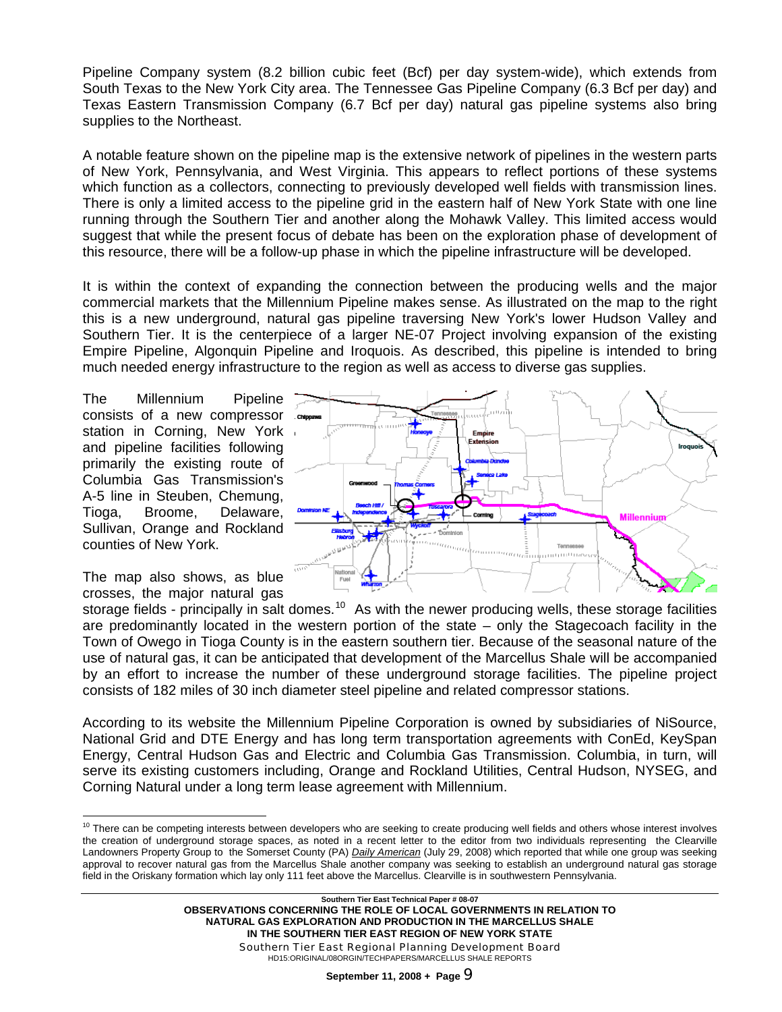Pipeline Company system (8.2 billion cubic feet (Bcf) per day system-wide), which extends from South Texas to the New York City area. The Tennessee Gas Pipeline Company (6.3 Bcf per day) and Texas Eastern Transmission Company (6.7 Bcf per day) natural gas pipeline systems also bring supplies to the Northeast.

A notable feature shown on the pipeline map is the extensive network of pipelines in the western parts of New York, Pennsylvania, and West Virginia. This appears to reflect portions of these systems which function as a collectors, connecting to previously developed well fields with transmission lines. There is only a limited access to the pipeline grid in the eastern half of New York State with one line running through the Southern Tier and another along the Mohawk Valley. This limited access would suggest that while the present focus of debate has been on the exploration phase of development of this resource, there will be a follow-up phase in which the pipeline infrastructure will be developed.

It is within the context of expanding the connection between the producing wells and the major commercial markets that the Millennium Pipeline makes sense. As illustrated on the map to the right this is a new underground, natural gas pipeline traversing New York's lower Hudson Valley and Southern Tier. It is the centerpiece of a larger NE-07 Project involving expansion of the existing Empire Pipeline, Algonquin Pipeline and Iroquois. As described, this pipeline is intended to bring much needed energy infrastructure to the region as well as access to diverse gas supplies.

counties of New York. The Millennium Pipeline consists of a new compressor station in Corning, New York and pipeline facilities following primarily the existing route of Columbia Gas Transmission's A-5 line in Steuben, Chemung, Tioga, Broome, Delaware, Sullivan, Orange and Rockland



The map also shows, as blue crosses, the major natural gas

 $\overline{a}$ 

storage fields - principally in salt domes.<sup>[10](#page-8-0)</sup> As with the newer producing wells, these storage facilities are predominantly located in the western portion of the state – only the Stagecoach facility in the Town of Owego in Tioga County is in the eastern southern tier. Because of the seasonal nature of the use of natural gas, it can be anticipated that development of the Marcellus Shale will be accompanied by an effort to increase the number of these underground storage facilities. The pipeline project consists of 182 miles of 30 inch diameter steel pipeline and related compressor stations.

According to its website the Millennium Pipeline Corporation is owned by subsidiaries of NiSource, National Grid and DTE Energy and has long term transportation agreements with ConEd, KeySpan Energy, Central Hudson Gas and Electric and Columbia Gas Transmission. Columbia, in turn, will serve its existing customers including, Orange and Rockland Utilities, Central Hudson, NYSEG, and Corning Natural under a long term lease agreement with Millennium.

**September 11, 2008 + Page** 9

<span id="page-8-0"></span> $10$  There can be competing interests between developers who are seeking to create producing well fields and others whose interest involves the creation of underground storage spaces, as noted in a recent letter to the editor from two individuals representing the Clearville Landowners Property Group to the Somerset County (PA) *Daily American* (July 29, 2008) which reported that while one group was seeking approval to recover natural gas from the Marcellus Shale another company was seeking to establish an underground natural gas storage field in the Oriskany formation which lay only 111 feet above the Marcellus. Clearville is in southwestern Pennsylvania.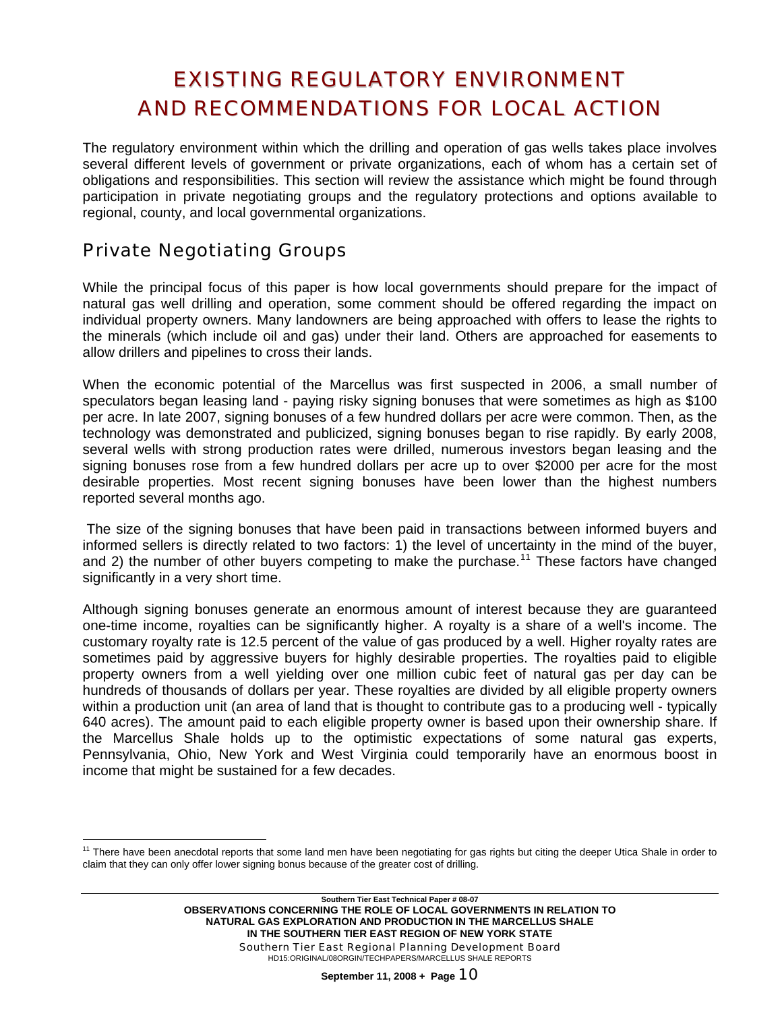# EXISTING REGULATORY ENVIRONMENT AND RECOMMENDATIONS FOR LOCAL ACTION

The regulatory environment within which the drilling and operation of gas wells takes place involves several different levels of government or private organizations, each of whom has a certain set of obligations and responsibilities. This section will review the assistance which might be found through participation in private negotiating groups and the regulatory protections and options available to regional, county, and local governmental organizations.

## Private Negotiating Groups

While the principal focus of this paper is how local governments should prepare for the impact of natural gas well drilling and operation, some comment should be offered regarding the impact on individual property owners. Many landowners are being approached with offers to lease the rights to the minerals (which include oil and gas) under their land. Others are approached for easements to allow drillers and pipelines to cross their lands.

When the economic potential of the Marcellus was first suspected in 2006, a small number of speculators began leasing land - paying risky signing bonuses that were sometimes as high as \$100 per acre. In late 2007, signing bonuses of a few hundred dollars per acre were common. Then, as the technology was demonstrated and publicized, signing bonuses began to rise rapidly. By early 2008, several wells with strong production rates were drilled, numerous investors began leasing and the signing bonuses rose from a few hundred dollars per acre up to over \$2000 per acre for the most desirable properties. Most recent signing bonuses have been lower than the highest numbers reported several months ago.

 The size of the signing bonuses that have been paid in transactions between informed buyers and informed sellers is directly related to two factors: 1) the level of uncertainty in the mind of the buyer, and 2) the number of other buyers competing to make the purchase.<sup>[11](#page-9-0)</sup> These factors have changed significantly in a very short time.

Although signing bonuses generate an enormous amount of interest because they are guaranteed one-time income, royalties can be significantly higher. A royalty is a share of a well's income. The customary royalty rate is 12.5 percent of the value of gas produced by a well. Higher royalty rates are sometimes paid by aggressive buyers for highly desirable properties. The royalties paid to eligible property owners from a well yielding over one million cubic feet of natural gas per day can be hundreds of thousands of dollars per year. These royalties are divided by all eligible property owners within a production unit (an area of land that is thought to contribute gas to a producing well - typically 640 acres). The amount paid to each eligible property owner is based upon their ownership share. If the Marcellus Shale holds up to the optimistic expectations of some natural gas experts, Pennsylvania, Ohio, New York and West Virginia could temporarily have an enormous boost in income that might be sustained for a few decades.

<span id="page-9-0"></span> $\overline{a}$ <sup>11</sup> There have been anecdotal reports that some land men have been negotiating for gas rights but citing the deeper Utica Shale in order to claim that they can only offer lower signing bonus because of the greater cost of drilling.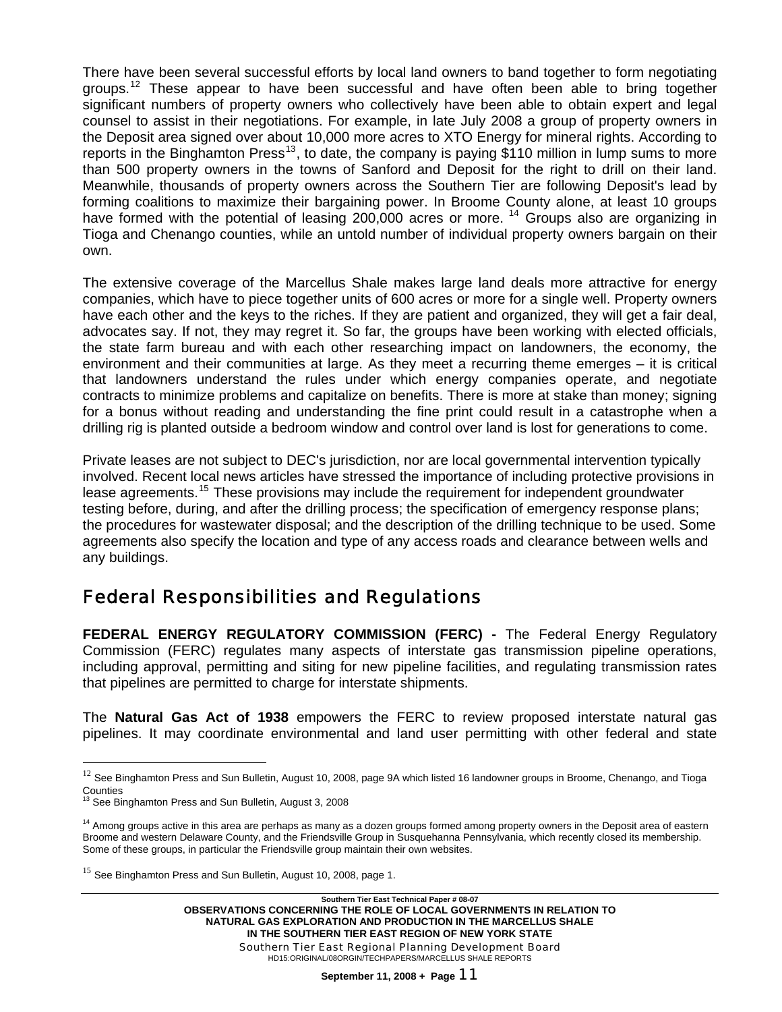There have been several successful efforts by local land owners to band together to form negotiating groups.<sup>[12](#page-10-0)</sup> These appear to have been successful and have often been able to bring together significant numbers of property owners who collectively have been able to obtain expert and legal counsel to assist in their negotiations. For example, in late July 2008 a group of property owners in the Deposit area signed over about 10,000 more acres to XTO Energy for mineral rights. According to reports in the Binghamton Press<sup>[13](#page-10-1)</sup>, to date, the company is paying \$110 million in lump sums to more than 500 property owners in the towns of Sanford and Deposit for the right to drill on their land. Meanwhile, thousands of property owners across the Southern Tier are following Deposit's lead by forming coalitions to maximize their bargaining power. In Broome County alone, at least 10 groups have formed with the potential of leasing 200,000 acres or more. <sup>[14](#page-10-2)</sup> Groups also are organizing in Tioga and Chenango counties, while an untold number of individual property owners bargain on their own.

The extensive coverage of the Marcellus Shale makes large land deals more attractive for energy companies, which have to piece together units of 600 acres or more for a single well. Property owners have each other and the keys to the riches. If they are patient and organized, they will get a fair deal, advocates say. If not, they may regret it. So far, the groups have been working with elected officials, the state farm bureau and with each other researching impact on landowners, the economy, the environment and their communities at large. As they meet a recurring theme emerges – it is critical that landowners understand the rules under which energy companies operate, and negotiate contracts to minimize problems and capitalize on benefits. There is more at stake than money; signing for a bonus without reading and understanding the fine print could result in a catastrophe when a drilling rig is planted outside a bedroom window and control over land is lost for generations to come.

Private leases are not subject to DEC's jurisdiction, nor are local governmental intervention typically involved. Recent local news articles have stressed the importance of including protective provisions in lease agreements.<sup>[15](#page-10-3)</sup> These provisions may include the requirement for independent groundwater testing before, during, and after the drilling process; the specification of emergency response plans; the procedures for wastewater disposal; and the description of the drilling technique to be used. Some agreements also specify the location and type of any access roads and clearance between wells and any buildings.

## Federal Responsibilities and Regulations

**FEDERAL ENERGY REGULATORY COMMISSION (FERC) -** The Federal Energy Regulatory Commission (FERC) regulates many aspects of interstate gas transmission pipeline operations, including approval, permitting and siting for new pipeline facilities, and regulating transmission rates that pipelines are permitted to charge for interstate shipments.

The **Natural Gas Act of 1938** empowers the FERC to review proposed interstate natural gas pipelines. It may coordinate environmental and land user permitting with other federal and state

 $\overline{a}$ 

<span id="page-10-0"></span> $^{12}$  See Binghamton Press and Sun Bulletin, August 10, 2008, page 9A which listed 16 landowner groups in Broome, Chenango, and Tioga

<span id="page-10-1"></span>Counties 13 See Binghamton Press and Sun Bulletin, August 3, 2008

<span id="page-10-2"></span><sup>&</sup>lt;sup>14</sup> Among groups active in this area are perhaps as many as a dozen groups formed among property owners in the Deposit area of eastern Broome and western Delaware County, and the Friendsville Group in Susquehanna Pennsylvania, which recently closed its membership. Some of these groups, in particular the Friendsville group maintain their own websites.

<span id="page-10-3"></span> $15$  See Binghamton Press and Sun Bulletin, August 10, 2008, page 1.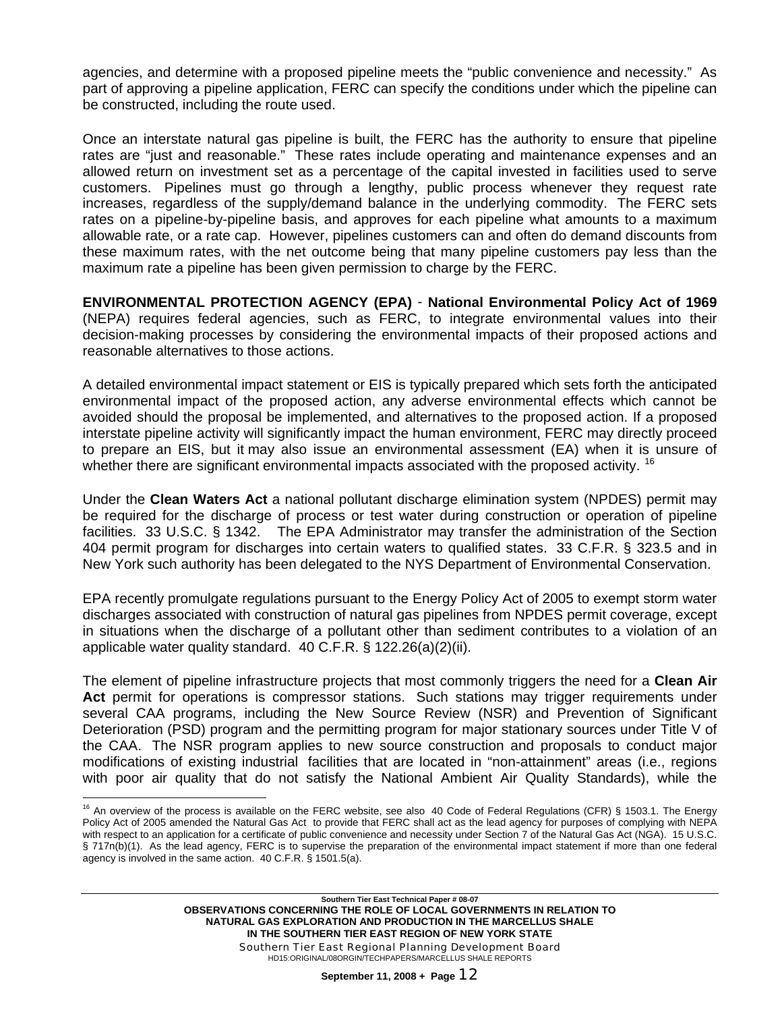agencies, and determine with a proposed pipeline meets the "public convenience and necessity." As part of approving a pipeline application, FERC can specify the conditions under which the pipeline can be constructed, including the route used.

Once an interstate natural gas pipeline is built, the FERC has the authority to ensure that pipeline rates are "just and reasonable." These rates include operating and maintenance expenses and an allowed return on investment set as a percentage of the capital invested in facilities used to serve customers. Pipelines must go through a lengthy, public process whenever they request rate increases, regardless of the supply/demand balance in the underlying commodity. The FERC sets rates on a pipeline-by-pipeline basis, and approves for each pipeline what amounts to a maximum allowable rate, or a rate cap. However, pipelines customers can and often do demand discounts from these maximum rates, with the net outcome being that many pipeline customers pay less than the maximum rate a pipeline has been given permission to charge by the FERC.

**ENVIRONMENTAL PROTECTION AGENCY (EPA)** - **[National Environmental Policy Act of 1969](http://www.ingaa.org/?ID=150)** (NEPA) requires federal agencies, such as FERC, to integrate environmental values into their decision-making processes by considering the environmental impacts of their proposed actions and reasonable alternatives to those actions.

A detailed environmental impact statement or EIS is typically prepared which sets forth the anticipated environmental impact of the proposed action, any adverse environmental effects which cannot be avoided should the proposal be implemented, and alternatives to the proposed action. If a proposed interstate pipeline activity will significantly impact the human environment, FERC may directly proceed to prepare an EIS, but it may also issue an environmental assessment (EA) when it is unsure of whether there are significant environmental impacts associated with the proposed activity.<sup>[16](#page-11-0)</sup>

Under the **Clean Waters Act** a national pollutant discharge elimination system (NPDES) permit may be required for the discharge of process or test water during construction or operation of pipeline facilities. 33 U.S.C. § 1342. The EPA Administrator may transfer the administration of the Section 404 permit program for discharges into certain waters to qualified states. 33 C.F.R. § 323.5 and in New York such authority has been delegated to the NYS Department of Environmental Conservation.

EPA recently promulgate regulations pursuant to the Energy Policy Act of 2005 to exempt storm water discharges associated with construction of natural gas pipelines from NPDES permit coverage, except in situations when the discharge of a pollutant other than sediment contributes to a violation of an applicable water quality standard. 40 C.F.R. § 122.26(a)(2)(ii).

The element of pipeline infrastructure projects that most commonly triggers the need for a **Clean Air**  Act permit for operations is compressor stations. Such stations may trigger requirements under several CAA programs, including the New Source Review (NSR) and Prevention of Significant Deterioration (PSD) program and the permitting program for major stationary sources under Title V of the CAA. The NSR program applies to new source construction and proposals to conduct major modifications of existing industrial facilities that are located in "non-attainment" areas (i.e., regions with poor air quality that do not satisfy the National Ambient Air Quality Standards), while the

<span id="page-11-0"></span> $\overline{a}$ <sup>16</sup> An [overview of the process](http://www.ingaa.org/?ID=151) is available on the FERC website, see also 40 Code of Federal Regulations (CFR) § 1503.1. The Energy Policy Act of 2005 amended the Natural Gas Act to provide that FERC shall act as the lead agency for purposes of complying with NEPA with respect to an application for a certificate of public convenience and necessity under Section 7 of the Natural Gas Act (NGA). 15 U.S.C. § 717n(b)(1). As the lead agency, FERC is to supervise the preparation of the environmental impact statement if more than one federal agency is involved in the same action. 40 C.F.R. § 1501.5(a).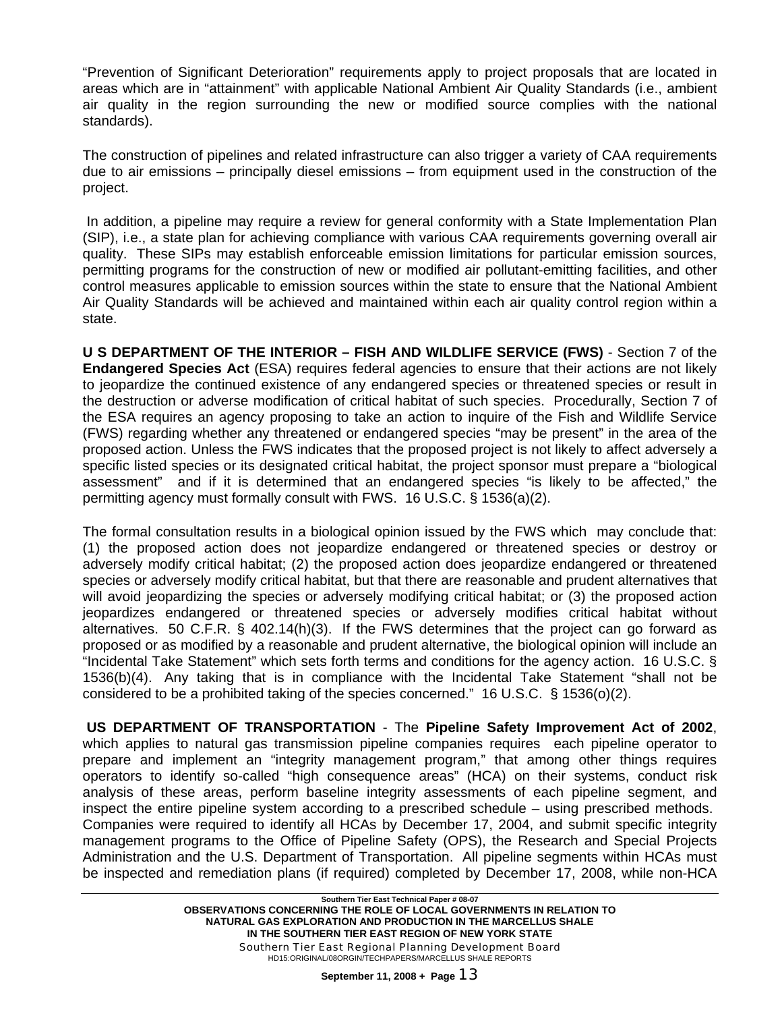"Prevention of Significant Deterioration" requirements apply to project proposals that are located in areas which are in "attainment" with applicable National Ambient Air Quality Standards (i.e., ambient air quality in the region surrounding the new or modified source complies with the national standards).

The construction of pipelines and related infrastructure can also trigger a variety of CAA requirements due to air emissions – principally diesel emissions – from equipment used in the construction of the project.

 In addition, a pipeline may require a review for general conformity with a State Implementation Plan (SIP), i.e., a state plan for achieving compliance with various CAA requirements governing overall air quality. These SIPs may establish enforceable emission limitations for particular emission sources, permitting programs for the construction of new or modified air pollutant-emitting facilities, and other control measures applicable to emission sources within the state to ensure that the National Ambient Air Quality Standards will be achieved and maintained within each air quality control region within a state.

**U S DEPARTMENT OF THE INTERIOR – FISH AND WILDLIFE SERVICE (FWS)** - Section 7 of the **Endangered Species Act** (ESA) requires federal agencies to ensure that their actions are not likely to jeopardize the continued existence of any endangered species or threatened species or result in the destruction or adverse modification of critical habitat of such species. Procedurally, Section 7 of the ESA requires an agency proposing to take an action to inquire of the Fish and Wildlife Service (FWS) regarding whether any threatened or endangered species "may be present" in the area of the proposed action. Unless the FWS indicates that the proposed project is not likely to affect adversely a specific listed species or its designated critical habitat, the project sponsor must prepare a "biological assessment" and if it is determined that an endangered species "is likely to be affected," the permitting agency must formally consult with FWS. 16 U.S.C. § 1536(a)(2).

The formal consultation results in a biological opinion issued by the FWS which may conclude that: (1) the proposed action does not jeopardize endangered or threatened species or destroy or adversely modify critical habitat; (2) the proposed action does jeopardize endangered or threatened species or adversely modify critical habitat, but that there are reasonable and prudent alternatives that will avoid jeopardizing the species or adversely modifying critical habitat; or (3) the proposed action jeopardizes endangered or threatened species or adversely modifies critical habitat without alternatives. 50 C.F.R. § 402.14(h)(3). If the FWS determines that the project can go forward as proposed or as modified by a reasonable and prudent alternative, the biological opinion will include an "Incidental Take Statement" which sets forth terms and conditions for the agency action. 16 U.S.C. § 1536(b)(4). Any taking that is in compliance with the Incidental Take Statement "shall not be considered to be a prohibited taking of the species concerned." 16 U.S.C. § 1536(o)(2).

 **US DEPARTMENT OF TRANSPORTATION** - The **Pipeline Safety Improvement Act of 2002**, which applies to natural gas transmission pipeline companies requires each pipeline operator to prepare and implement an "integrity management program," that among other things requires operators to identify so-called "high consequence areas" (HCA) on their systems, conduct risk analysis of these areas, perform baseline integrity assessments of each pipeline segment, and inspect the entire pipeline system according to a prescribed schedule – using prescribed methods. Companies were required to identify all HCAs by December 17, 2004, and submit specific integrity management programs to the Office of Pipeline Safety (OPS), the Research and Special Projects Administration and the U.S. Department of Transportation. All pipeline segments within HCAs must be inspected and remediation plans (if required) completed by December 17, 2008, while non-HCA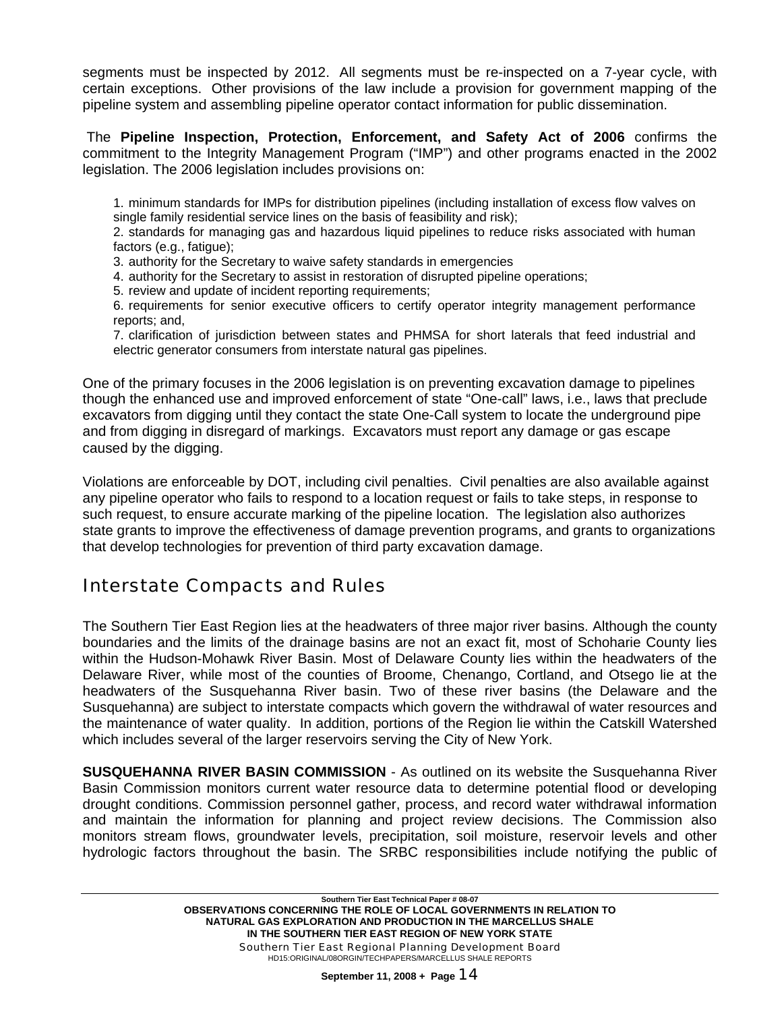segments must be inspected by 2012. All segments must be re-inspected on a 7-year cycle, with certain exceptions. Other provisions of the law include a provision for government mapping of the pipeline system and assembling pipeline operator contact information for public dissemination.

 The **Pipeline Inspection, Protection, Enforcement, and Safety Act of 2006** confirms the commitment to the Integrity Management Program ("IMP") and other programs enacted in the 2002 legislation. The 2006 legislation includes provisions on:

1. minimum standards for IMPs for distribution pipelines (including installation of excess flow valves on single family residential service lines on the basis of feasibility and risk);

2. standards for managing gas and hazardous liquid pipelines to reduce risks associated with human factors (e.g., fatigue);

3. authority for the Secretary to waive safety standards in emergencies

4. authority for the Secretary to assist in restoration of disrupted pipeline operations;

5. review and update of incident reporting requirements;

6. requirements for senior executive officers to certify operator integrity management performance reports; and,

7. clarification of jurisdiction between states and PHMSA for short laterals that feed industrial and electric generator consumers from interstate natural gas pipelines.

One of the primary focuses in the 2006 legislation is on preventing excavation damage to pipelines though the enhanced use and improved enforcement of state "One-call" laws, i.e., laws that preclude excavators from digging until they contact the state One-Call system to locate the underground pipe and from digging in disregard of markings. Excavators must report any damage or gas escape caused by the digging.

Violations are enforceable by DOT, including civil penalties. Civil penalties are also available against any pipeline operator who fails to respond to a location request or fails to take steps, in response to such request, to ensure accurate marking of the pipeline location. The legislation also authorizes state grants to improve the effectiveness of damage prevention programs, and grants to organizations that develop technologies for prevention of third party excavation damage.

## Interstate Compacts and Rules

The Southern Tier East Region lies at the headwaters of three major river basins. Although the county boundaries and the limits of the drainage basins are not an exact fit, most of Schoharie County lies within the Hudson-Mohawk River Basin. Most of Delaware County lies within the headwaters of the Delaware River, while most of the counties of Broome, Chenango, Cortland, and Otsego lie at the headwaters of the Susquehanna River basin. Two of these river basins (the Delaware and the Susquehanna) are subject to interstate compacts which govern the withdrawal of water resources and the maintenance of water quality. In addition, portions of the Region lie within the Catskill Watershed which includes several of the larger reservoirs serving the City of New York.

**SUSQUEHANNA RIVER BASIN COMMISSION** - As outlined on its website the Susquehanna River Basin Commission monitors current water resource data to determine potential flood or developing drought conditions. Commission personnel gather, process, and record water withdrawal information and maintain the information for planning and project review decisions. The Commission also monitors stream flows, groundwater levels, precipitation, soil moisture, reservoir levels and other hydrologic factors throughout the basin. The SRBC responsibilities include notifying the public of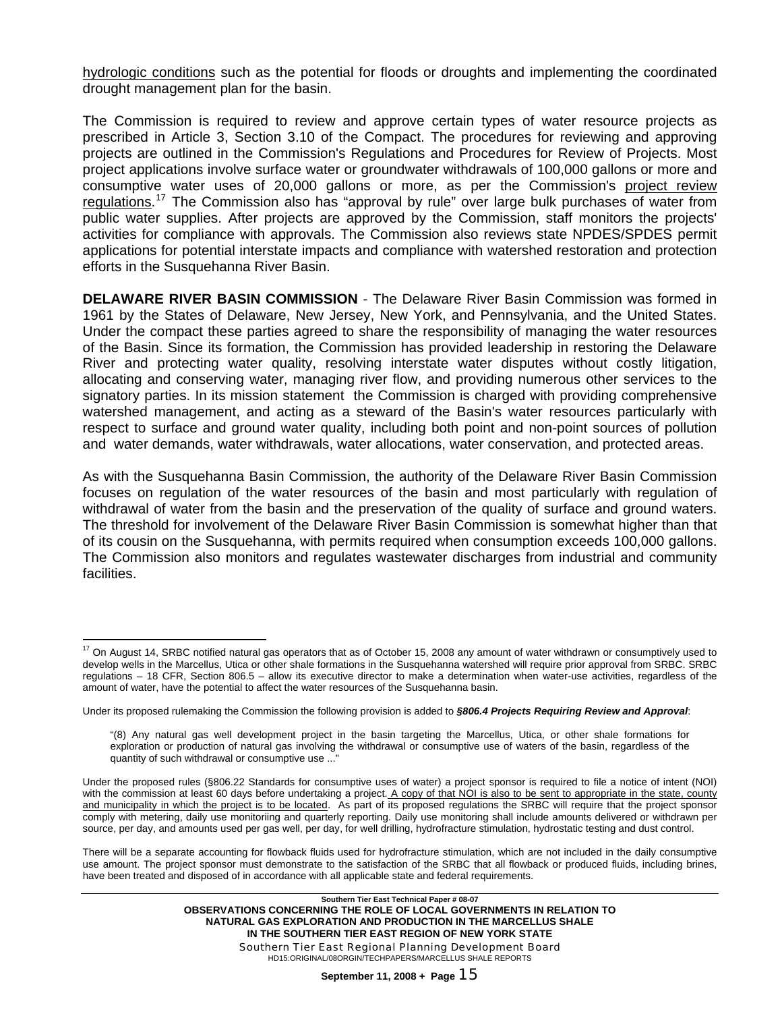[hydrologic conditions](http://www.srbc.net/hydrologic/index.htm) such as the potential for floods or droughts and implementing the coordinated drought management plan for the basin.

The Commission is required to review and approve certain types of water resource projects as prescribed in Article 3, Section 3.10 of the Compact. The procedures for reviewing and approving projects are outlined in the Commission's Regulations and Procedures for Review of Projects. Most project applications involve surface water or groundwater withdrawals of 100,000 gallons or more and consumptive water uses of 20,000 gallons or more, as per the Commission's [project review](http://www.srbc.net/programs/projreview.htm)  [regulations.](http://www.srbc.net/programs/projreview.htm)<sup>[17](#page-14-0)</sup> The Commission also has "approval by rule" over large bulk purchases of water from public water supplies. After projects are approved by the Commission, staff monitors the projects' activities for compliance with approvals. The Commission also reviews state NPDES/SPDES permit applications for potential interstate impacts and compliance with watershed restoration and protection efforts in the Susquehanna River Basin.

**DELAWARE RIVER BASIN COMMISSION** - The Delaware River Basin Commission was formed in 1961 by the States of Delaware, New Jersey, New York, and Pennsylvania, and the United States. Under the compact these parties agreed to share the responsibility of managing the water resources of the Basin. Since its formation, the Commission has provided leadership in restoring the Delaware River and protecting water quality, resolving interstate water disputes without costly litigation, allocating and conserving water, managing river flow, and providing numerous other services to the signatory parties. In its mission statement the Commission is charged with providing comprehensive watershed management, and acting as a steward of the Basin's water resources particularly with respect to surface and ground water quality, including both point and non-point sources of pollution and water demands, water withdrawals, water allocations, water conservation, and protected areas.

As with the Susquehanna Basin Commission, the authority of the Delaware River Basin Commission focuses on regulation of the water resources of the basin and most particularly with regulation of withdrawal of water from the basin and the preservation of the quality of surface and ground waters. The threshold for involvement of the Delaware River Basin Commission is somewhat higher than that of its cousin on the Susquehanna, with permits required when consumption exceeds 100,000 gallons. The Commission also monitors and regulates wastewater discharges from industrial and community facilities.

There will be a separate accounting for flowback fluids used for hydrofracture stimulation, which are not included in the daily consumptive use amount. The project sponsor must demonstrate to the satisfaction of the SRBC that all flowback or produced fluids, including brines, have been treated and disposed of in accordance with all applicable state and federal requirements.

<span id="page-14-0"></span> $\overline{a}$ <sup>17</sup> On August 14, SRBC notified natural gas operators that as of October 15, 2008 any amount of water withdrawn or consumptively used to develop wells in the Marcellus, Utica or other shale formations in the Susquehanna watershed will require prior approval from SRBC. SRBC regulations – 18 CFR, Section 806.5 – allow its executive director to make a determination when water-use activities, regardless of the amount of water, have the potential to affect the water resources of the Susquehanna basin.

Under its proposed rulemaking the Commission the following provision is added to *§806.4 Projects Requiring Review and Approval*:

<sup>&</sup>quot;(8) Any natural gas well development project in the basin targeting the Marcellus, Utica, or other shale formations for exploration or production of natural gas involving the withdrawal or consumptive use of waters of the basin, regardless of the quantity of such withdrawal or consumptive use ...'

Under the proposed rules (§806.22 Standards for consumptive uses of water) a project sponsor is required to file a notice of intent (NOI) with the commission at least 60 days before undertaking a project. A copy of that NOI is also to be sent to appropriate in the state, county and municipality in which the project is to be located. As part of its proposed regulations the SRBC will require that the project sponsor comply with metering, daily use monitoriing and quarterly reporting. Daily use monitoring shall include amounts delivered or withdrawn per source, per day, and amounts used per gas well, per day, for well drilling, hydrofracture stimulation, hydrostatic testing and dust control.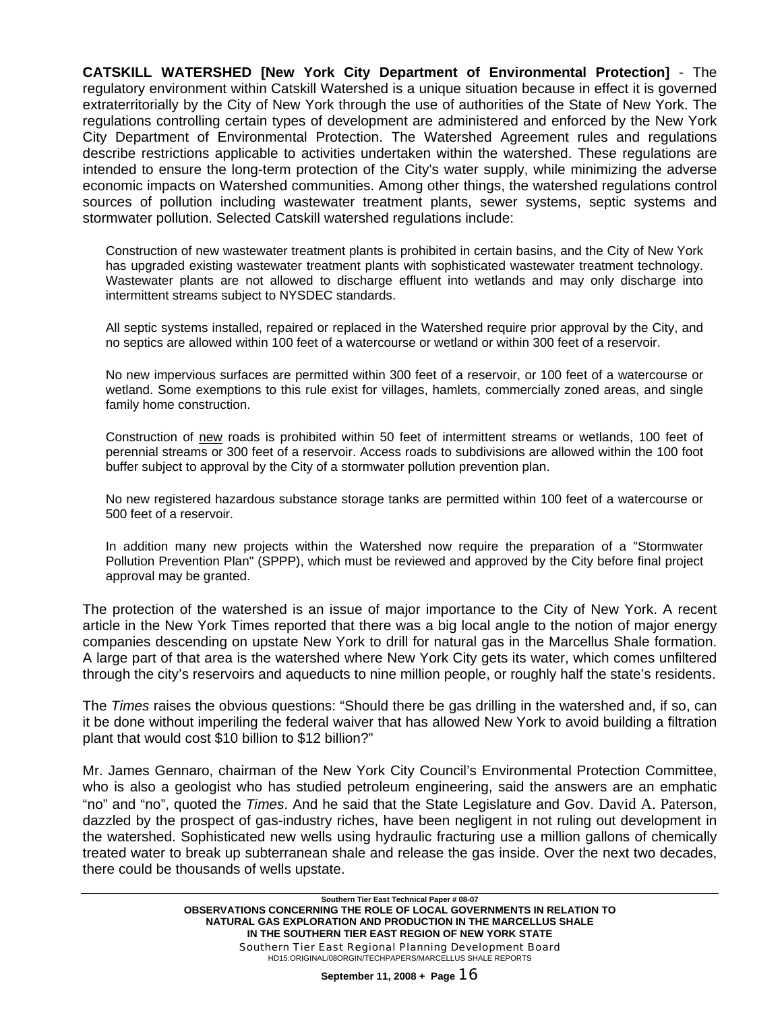**CATSKILL WATERSHED [New York City Department of Environmental Protection]** - The regulatory environment within Catskill Watershed is a unique situation because in effect it is governed extraterritorially by the City of New York through the use of authorities of the State of New York. The regulations controlling certain types of development are administered and enforced by the New York City Department of Environmental Protection. The Watershed Agreement rules and regulations describe restrictions applicable to activities undertaken within the watershed. These regulations are intended to ensure the long-term protection of the City's water supply, while minimizing the adverse economic impacts on Watershed communities. Among other things, the watershed regulations control sources of pollution including wastewater treatment plants, sewer systems, septic systems and stormwater pollution. Selected Catskill watershed regulations include:

Construction of new wastewater treatment plants is prohibited in certain basins, and the City of New York has upgraded existing wastewater treatment plants with sophisticated wastewater treatment technology. Wastewater plants are not allowed to discharge effluent into wetlands and may only discharge into intermittent streams subject to NYSDEC standards.

All septic systems installed, repaired or replaced in the Watershed require prior approval by the City, and no septics are allowed within 100 feet of a watercourse or wetland or within 300 feet of a reservoir.

No new impervious surfaces are permitted within 300 feet of a reservoir, or 100 feet of a watercourse or wetland. Some exemptions to this rule exist for villages, hamlets, commercially zoned areas, and single family home construction.

Construction of new roads is prohibited within 50 feet of intermittent streams or wetlands, 100 feet of perennial streams or 300 feet of a reservoir. Access roads to subdivisions are allowed within the 100 foot buffer subject to approval by the City of a stormwater pollution prevention plan.

No new registered hazardous substance storage tanks are permitted within 100 feet of a watercourse or 500 feet of a reservoir.

In addition many new projects within the Watershed now require the preparation of a "Stormwater Pollution Prevention Plan" (SPPP), which must be reviewed and approved by the City before final project approval may be granted.

The protection of the watershed is an issue of major importance to the City of New York. A recent article in the New York Times reported that there was a big local angle to the notion of major energy companies descending on upstate New York to drill for natural gas in the Marcellus Shale formation. A large part of that area is the watershed where New York City gets its water, which comes unfiltered through the city's reservoirs and aqueducts to nine million people, or roughly half the state's residents.

The *Times* raises the obvious questions: "Should there be gas drilling in the watershed and, if so, can it be done without imperiling the federal waiver that has allowed New York to avoid building a filtration plant that would cost \$10 billion to \$12 billion?"

Mr. James Gennaro, chairman of the New York City Council's Environmental Protection Committee, who is also a geologist who has studied petroleum engineering, said the answers are an emphatic "no" and "no", quoted the *Times*. And he said that the State Legislature and Gov. [David A. Paterson](http://topics.nytimes.com/top/reference/timestopics/people/p/david_a_paterson/index.html?inline=nyt-per), dazzled by the prospect of gas-industry riches, have been negligent in not ruling out development in the watershed. Sophisticated new wells using hydraulic fracturing use a million gallons of chemically treated water to break up subterranean shale and release the gas inside. Over the next two decades, there could be thousands of wells upstate.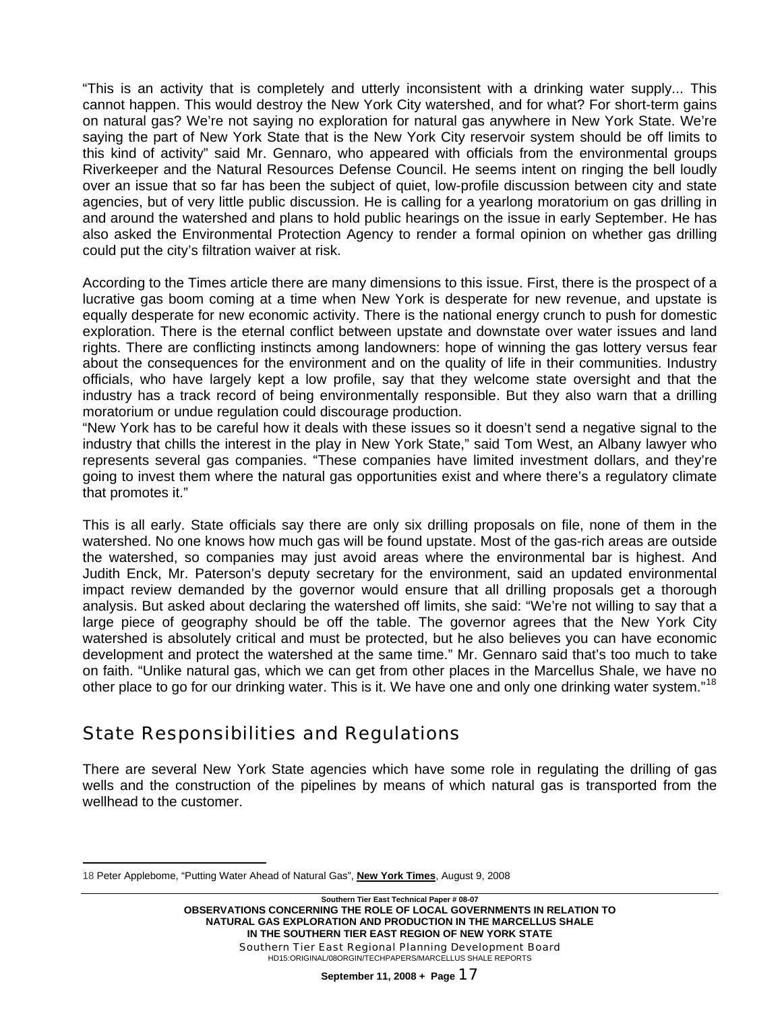"This is an activity that is completely and utterly inconsistent with a drinking water supply... This cannot happen. This would destroy the New York City watershed, and for what? For short-term gains on natural gas? We're not saying no exploration for natural gas anywhere in New York State. We're saying the part of New York State that is the New York City reservoir system should be off limits to this kind of activity" said Mr. Gennaro, who appeared with officials from the environmental groups [Riverkeeper](http://topics.nytimes.com/top/reference/timestopics/organizations/r/riverkeeper/index.html?inline=nyt-org) and the [Natural Resources Defense Council](http://topics.nytimes.com/top/reference/timestopics/organizations/n/natural_resources_defense_council/index.html?inline=nyt-org). He seems intent on ringing the bell loudly over an issue that so far has been the subject of quiet, low-profile discussion between city and state agencies, but of very little public discussion. He is calling for a yearlong moratorium on gas drilling in and around the watershed and plans to hold public hearings on the issue in early September. He has also asked the [Environmental Protection Agency](http://topics.nytimes.com/top/reference/timestopics/organizations/e/environmental_protection_agency/index.html?inline=nyt-org) to render a formal opinion on whether gas drilling could put the city's filtration waiver at risk.

According to the Times article there are many dimensions to this issue. First, there is the prospect of a lucrative gas boom coming at a time when New York is desperate for new revenue, and upstate is equally desperate for new economic activity. There is the national energy crunch to push for domestic exploration. There is the eternal conflict between upstate and downstate over water issues and land rights. There are conflicting instincts among landowners: hope of winning the gas lottery versus fear about the consequences for the environment and on the quality of life in their communities. Industry officials, who have largely kept a low profile, say that they welcome state oversight and that the industry has a track record of being environmentally responsible. But they also warn that a drilling moratorium or undue regulation could discourage production.

"New York has to be careful how it deals with these issues so it doesn't send a negative signal to the industry that chills the interest in the play in New York State," said Tom West, an Albany lawyer who represents several gas companies. "These companies have limited investment dollars, and they're going to invest them where the natural gas opportunities exist and where there's a regulatory climate that promotes it."

This is all early. State officials say there are only six drilling proposals on file, none of them in the watershed. No one knows how much gas will be found upstate. Most of the gas-rich areas are outside the watershed, so companies may just avoid areas where the environmental bar is highest. And Judith Enck, Mr. Paterson's deputy secretary for the environment, said an updated environmental impact review demanded by the governor would ensure that all drilling proposals get a thorough analysis. But asked about declaring the watershed off limits, she said: "We're not willing to say that a large piece of geography should be off the table. The governor agrees that the New York City watershed is absolutely critical and must be protected, but he also believes you can have economic development and protect the watershed at the same time." Mr. Gennaro said that's too much to take on faith. "Unlike natural gas, which we can get from other places in the Marcellus Shale, we have no other place to go for our drinking water. This is it. We have one and only one drinking water system."<sup>18</sup>

## State Responsibilities and Regulations

 $\overline{a}$ 

There are several New York State agencies which have some role in regulating the drilling of gas wells and the construction of the pipelines by means of which natural gas is transported from the wellhead to the customer.

<span id="page-16-0"></span><sup>18</sup> Peter Applebome, "Putting Water Ahead of Natural Gas", **New York Times**, August 9, 2008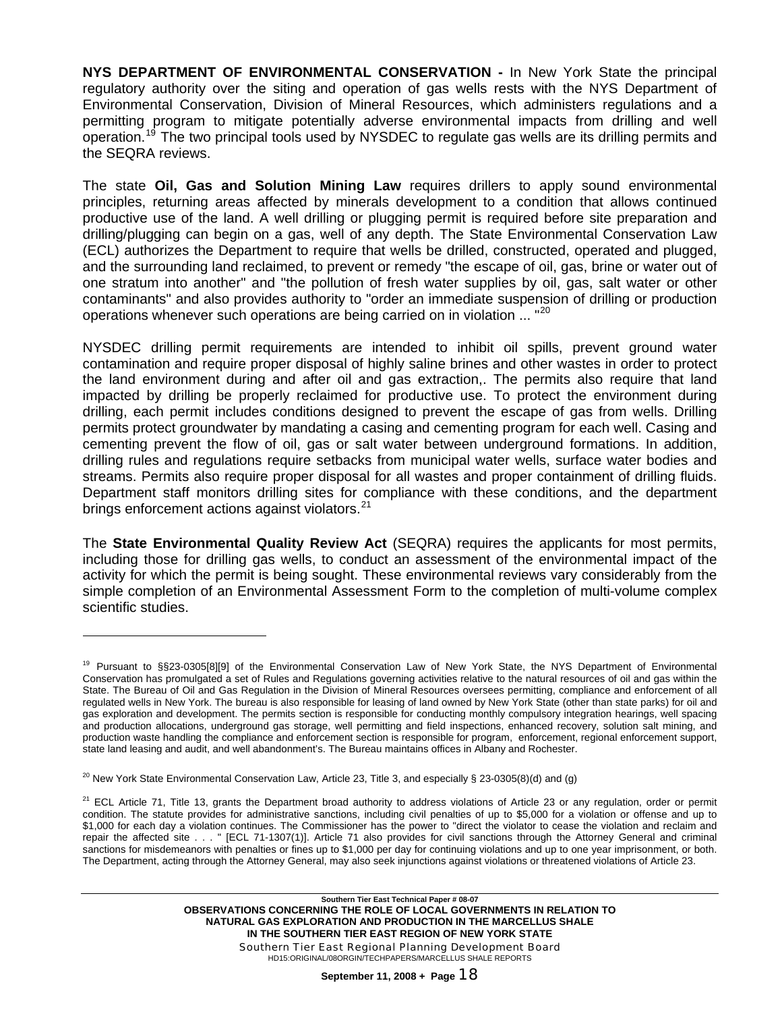**NYS DEPARTMENT OF ENVIRONMENTAL CONSERVATION -** In New York State the principal regulatory authority over the siting and operation of gas wells rests with the NYS Department of Environmental Conservation, Division of Mineral Resources, which administers regulations and a permitting program to mitigate potentially adverse environmental impacts from drilling and well operation.<sup>[19](#page-17-0)</sup> The two principal tools used by NYSDEC to regulate gas wells are its drilling permits and the SEQRA reviews.

The state **Oil, Gas and Solution Mining Law** requires drillers to apply sound environmental principles, returning areas affected by minerals development to a condition that allows continued productive use of the land. A well drilling or plugging permit is required before site preparation and drilling/plugging can begin on a gas, well of any depth. The State Environmental Conservation Law (ECL) authorizes the Department to require that wells be drilled, constructed, operated and plugged, and the surrounding land reclaimed, to prevent or remedy "the escape of oil, gas, brine or water out of one stratum into another" and "the pollution of fresh water supplies by oil, gas, salt water or other contaminants" and also provides authority to "order an immediate suspension of drilling or production operations whenever such operations are being carried on in violation  $\ldots$  "[20](#page-17-1)

NYSDEC drilling permit requirements are intended to inhibit oil spills, prevent ground water contamination and require proper disposal of highly saline brines and other wastes in order to protect the land environment during and after oil and gas extraction,. The permits also require that land impacted by drilling be properly reclaimed for productive use. To protect the environment during drilling, each permit includes conditions designed to prevent the escape of gas from wells. Drilling permits protect groundwater by mandating a casing and cementing program for each well. Casing and cementing prevent the flow of oil, gas or salt water between underground formations. In addition, drilling rules and regulations require setbacks from municipal water wells, surface water bodies and streams. Permits also require proper disposal for all wastes and proper containment of drilling fluids. Department staff monitors drilling sites for compliance with these conditions, and the department brings enforcement actions against violators.<sup>[21](#page-17-2)</sup>

The **State Environmental Quality Review Act** (SEQRA) requires the applicants for most permits, including those for drilling gas wells, to conduct an assessment of the environmental impact of the activity for which the permit is being sought. These environmental reviews vary considerably from the simple completion of an Environmental Assessment Form to the completion of multi-volume complex scientific studies.

 $\overline{a}$ 

<span id="page-17-0"></span><sup>19</sup> Pursuant to §§23-0305[8][9] of the Environmental Conservation Law of New York State, the NYS Department of Environmental Conservation has promulgated a set of Rules and Regulations governing activities relative to the natural resources of oil and gas within the State. The Bureau of Oil and Gas Regulation in the Division of Mineral Resources oversees permitting, compliance and enforcement of all regulated wells in New York. The bureau is also responsible for leasing of land owned by New York State (other than state parks) for oil and gas exploration and development. The permits section is responsible for conducting monthly compulsory integration hearings, well spacing and production allocations, underground gas storage, well permitting and field inspections, enhanced recovery, solution salt mining, and production waste handling the compliance and enforcement section is responsible for program, enforcement, regional enforcement support, state land leasing and audit, and well abandonment's. The Bureau maintains offices in Albany and Rochester.

<span id="page-17-1"></span><sup>&</sup>lt;sup>20</sup> New York State Environmental Conservation Law, Article 23, Title 3, and especially § 23-0305(8)(d) and (g)

<span id="page-17-2"></span><sup>&</sup>lt;sup>21</sup> ECL Article 71, Title 13, grants the Department broad authority to address violations of Article 23 or any regulation, order or permit condition. The statute provides for administrative sanctions, including civil penalties of up to \$5,000 for a violation or offense and up to \$1,000 for each day a violation continues. The Commissioner has the power to "direct the violator to cease the violation and reclaim and repair the affected site . . . " [ECL 71-1307(1)]. Article 71 also provides for civil sanctions through the Attorney General and criminal sanctions for misdemeanors with penalties or fines up to \$1,000 per day for continuing violations and up to one year imprisonment, or both. The Department, acting through the Attorney General, may also seek injunctions against violations or threatened violations of Article 23.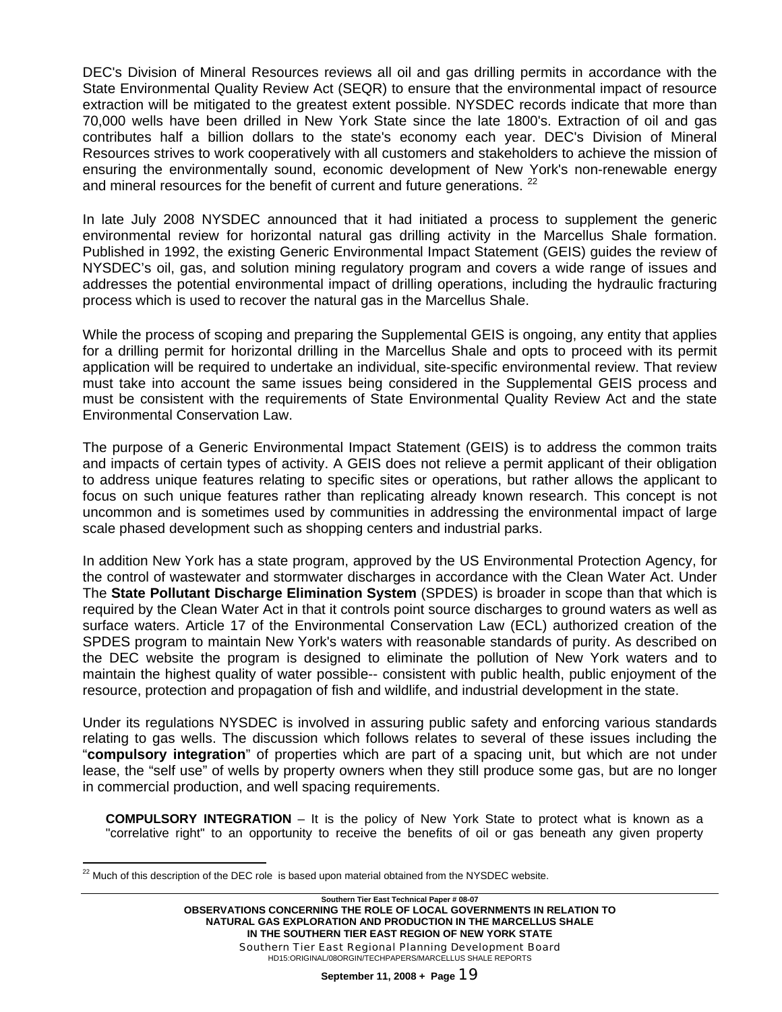DEC's Division of Mineral Resources reviews all oil and gas drilling permits in accordance with the State Environmental Quality Review Act (SEQR) to ensure that the environmental impact of resource extraction will be mitigated to the greatest extent possible. NYSDEC records indicate that more than 70,000 wells have been drilled in New York State since the late 1800's. Extraction of oil and gas contributes half a billion dollars to the state's economy each year. DEC's Division of Mineral Resources strives to work cooperatively with all customers and stakeholders to achieve the mission of ensuring the environmentally sound, economic development of New York's non-renewable energy and mineral resources for the benefit of current and future generations. <sup>[22](#page-18-0)</sup>

In late July 2008 NYSDEC announced that it had initiated a process to supplement the generic environmental review for horizontal natural gas drilling activity in the Marcellus Shale formation. Published in 1992, the existing Generic Environmental Impact Statement (GEIS) guides the review of NYSDEC's oil, gas, and solution mining regulatory program and covers a wide range of issues and addresses the potential environmental impact of drilling operations, including the hydraulic fracturing process which is used to recover the natural gas in the Marcellus Shale.

While the process of scoping and preparing the Supplemental GEIS is ongoing, any entity that applies for a drilling permit for horizontal drilling in the Marcellus Shale and opts to proceed with its permit application will be required to undertake an individual, site-specific environmental review. That review must take into account the same issues being considered in the Supplemental GEIS process and must be consistent with the requirements of State Environmental Quality Review Act and the state Environmental Conservation Law.

The purpose of a Generic Environmental Impact Statement (GEIS) is to address the common traits and impacts of certain types of activity. A GEIS does not relieve a permit applicant of their obligation to address unique features relating to specific sites or operations, but rather allows the applicant to focus on such unique features rather than replicating already known research. This concept is not uncommon and is sometimes used by communities in addressing the environmental impact of large scale phased development such as shopping centers and industrial parks.

In addition New York has a state program, approved by the US Environmental Protection Agency, for the control of wastewater and stormwater discharges in accordance with the Clean Water Act. Under The **State Pollutant Discharge Elimination System** (SPDES) is broader in scope than that which is required by the Clean Water Act in that it controls point source discharges to ground waters as well as surface waters. Article 17 of the Environmental Conservation Law (ECL) authorized creation of the SPDES program to maintain New York's waters with reasonable standards of purity. As described on the DEC website the program is designed to eliminate the pollution of New York waters and to maintain the highest quality of water possible-- consistent with public health, public enjoyment of the resource, protection and propagation of fish and wildlife, and industrial development in the state.

Under its regulations NYSDEC is involved in assuring public safety and enforcing various standards relating to gas wells. The discussion which follows relates to several of these issues including the "**compulsory integration**" of properties which are part of a spacing unit, but which are not under lease, the "self use" of wells by property owners when they still produce some gas, but are no longer in commercial production, and well spacing requirements.

**COMPULSORY INTEGRATION** – It is the policy of New York State to protect what is known as a "correlative right" to an opportunity to receive the benefits of oil or gas beneath any given property

 $\overline{a}$ 

<span id="page-18-0"></span> $22$  Much of this description of the DEC role is based upon material obtained from the NYSDEC website.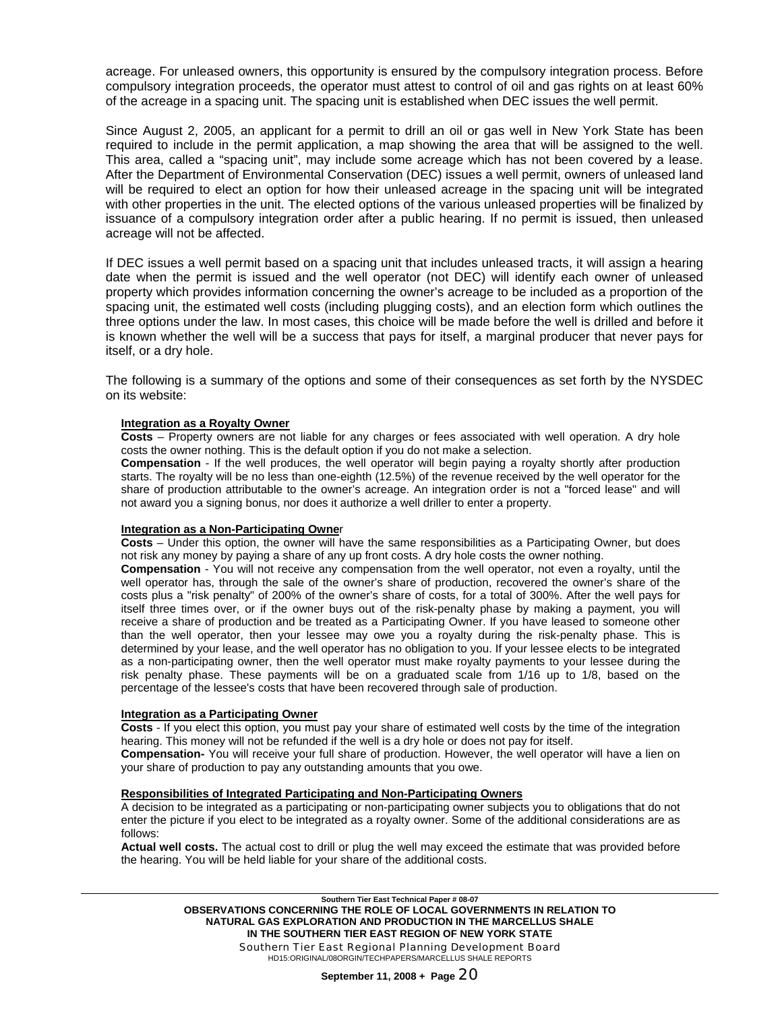acreage. For unleased owners, this opportunity is ensured by the compulsory integration process. Before compulsory integration proceeds, the operator must attest to control of oil and gas rights on at least 60% of the acreage in a spacing unit. The spacing unit is established when DEC issues the well permit.

Since August 2, 2005, an applicant for a permit to drill an oil or gas well in New York State has been required to include in the permit application, a map showing the area that will be assigned to the well. This area, called a "spacing unit", may include some acreage which has not been covered by a lease. After the Department of Environmental Conservation (DEC) issues a well permit, owners of unleased land will be required to elect an option for how their unleased acreage in the spacing unit will be integrated with other properties in the unit. The elected options of the various unleased properties will be finalized by issuance of a compulsory integration order after a public hearing. If no permit is issued, then unleased acreage will not be affected.

If DEC issues a well permit based on a spacing unit that includes unleased tracts, it will assign a hearing date when the permit is issued and the well operator (not DEC) will identify each owner of unleased property which provides information concerning the owner's acreage to be included as a proportion of the spacing unit, the estimated well costs (including plugging costs), and an election form which outlines the three options under the law. In most cases, this choice will be made before the well is drilled and before it is known whether the well will be a success that pays for itself, a marginal producer that never pays for itself, or a dry hole.

The following is a summary of the options and some of their consequences as set forth by the NYSDEC on its website:

#### **Integration as a Royalty Owner**

**Costs** – Property owners are not liable for any charges or fees associated with well operation. A dry hole costs the owner nothing. This is the default option if you do not make a selection.

**Compensation** - If the well produces, the well operator will begin paying a royalty shortly after production starts. The royalty will be no less than one-eighth (12.5%) of the revenue received by the well operator for the share of production attributable to the owner's acreage. An integration order is not a "forced lease" and will not award you a signing bonus, nor does it authorize a well driller to enter a property.

#### **Integration as a Non-Participating Owne**r

**Costs** – Under this option, the owner will have the same responsibilities as a Participating Owner, but does not risk any money by paying a share of any up front costs. A dry hole costs the owner nothing.

**Compensation** - You will not receive any compensation from the well operator, not even a royalty, until the well operator has, through the sale of the owner's share of production, recovered the owner's share of the costs plus a "risk penalty" of 200% of the owner's share of costs, for a total of 300%. After the well pays for itself three times over, or if the owner buys out of the risk-penalty phase by making a payment, you will receive a share of production and be treated as a Participating Owner. If you have leased to someone other than the well operator, then your lessee may owe you a royalty during the risk-penalty phase. This is determined by your lease, and the well operator has no obligation to you. If your lessee elects to be integrated as a non-participating owner, then the well operator must make royalty payments to your lessee during the risk penalty phase. These payments will be on a graduated scale from 1/16 up to 1/8, based on the percentage of the lessee's costs that have been recovered through sale of production.

#### **Integration as a Participating Owner**

**Costs** - If you elect this option, you must pay your share of estimated well costs by the time of the integration hearing. This money will not be refunded if the well is a dry hole or does not pay for itself.

**Compensation-** You will receive your full share of production. However, the well operator will have a lien on your share of production to pay any outstanding amounts that you owe.

#### **Responsibilities of Integrated Participating and Non-Participating Owners**

A decision to be integrated as a participating or non-participating owner subjects you to obligations that do not enter the picture if you elect to be integrated as a royalty owner. Some of the additional considerations are as follows:

**Actual well costs.** The actual cost to drill or plug the well may exceed the estimate that was provided before the hearing. You will be held liable for your share of the additional costs.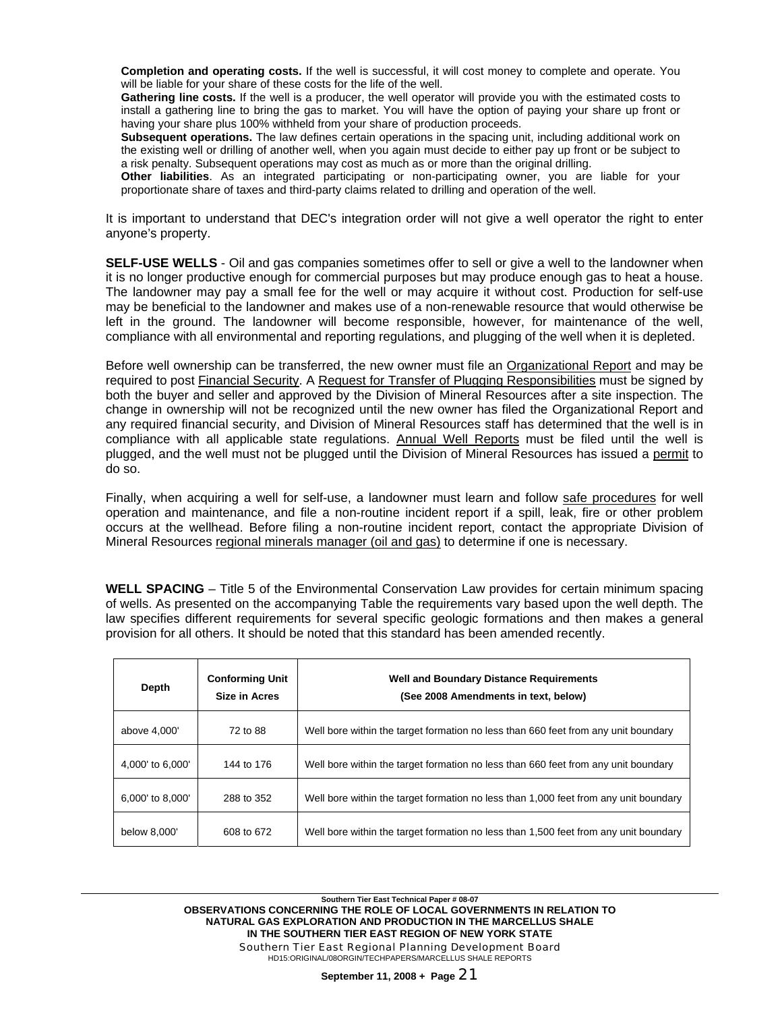**Completion and operating costs.** If the well is successful, it will cost money to complete and operate. You will be liable for your share of these costs for the life of the well.

**Gathering line costs.** If the well is a producer, the well operator will provide you with the estimated costs to install a gathering line to bring the gas to market. You will have the option of paying your share up front or having your share plus 100% withheld from your share of production proceeds.

**Subsequent operations.** The law defines certain operations in the spacing unit, including additional work on the existing well or drilling of another well, when you again must decide to either pay up front or be subject to a risk penalty. Subsequent operations may cost as much as or more than the original drilling.

**Other liabilities**. As an integrated participating or non-participating owner, you are liable for your proportionate share of taxes and third-party claims related to drilling and operation of the well.

It is important to understand that DEC's integration order will not give a well operator the right to enter anyone's property.

**SELF-USE WELLS** - Oil and gas companies sometimes offer to sell or give a well to the landowner when it is no longer productive enough for commercial purposes but may produce enough gas to heat a house. The landowner may pay a small fee for the well or may acquire it without cost. Production for self-use may be beneficial to the landowner and makes use of a non-renewable resource that would otherwise be left in the ground. The landowner will become responsible, however, for maintenance of the well, compliance with all environmental and reporting regulations, and plugging of the well when it is depleted.

Before well ownership can be transferred, the new owner must file an [Organizational Report](http://www.dec.ny.gov/energy/1624.html) and may be required to post [Financial Security](http://www.dec.ny.gov/energy/1622.html). A [Request for Transfer of Plugging Responsibilities](http://www.dec.ny.gov/energy/1620.html) must be signed by both the buyer and seller and approved by the Division of Mineral Resources after a site inspection. The change in ownership will not be recognized until the new owner has filed the Organizational Report and any required financial security, and Division of Mineral Resources staff has determined that the well is in compliance with all applicable state regulations. [Annual Well Reports](http://www.dec.ny.gov/energy/1616.html) must be filed until the well is plugged, and the well must not be plugged until the Division of Mineral Resources has issued a [permit](http://www.dec.ny.gov/energy/1618.html) to do so.

Finally, when acquiring a well for self-use, a landowner must learn and follow [safe procedures](http://www.dec.ny.gov/energy/1637.html) for well operation and maintenance, and file a non-routine incident report if a spill, leak, fire or other problem occurs at the wellhead. Before filing a non-routine incident report, contact the appropriate Division of Mineral Resources [regional minerals manager \(oil and gas\)](http://www.dec.ny.gov/about/34315.html) to determine if one is necessary.

**WELL SPACING** – Title 5 of the Environmental Conservation Law provides for certain minimum spacing of wells. As presented on the accompanying Table the requirements vary based upon the well depth. The law specifies different requirements for several specific geologic formations and then makes a general provision for all others. It should be noted that this standard has been amended recently.

| Depth            | <b>Conforming Unit</b><br><b>Size in Acres</b> | <b>Well and Boundary Distance Requirements</b><br>(See 2008 Amendments in text, below) |  |
|------------------|------------------------------------------------|----------------------------------------------------------------------------------------|--|
| above 4,000'     | 72 to 88                                       | Well bore within the target formation no less than 660 feet from any unit boundary     |  |
| 4,000' to 6,000' | 144 to 176                                     | Well bore within the target formation no less than 660 feet from any unit boundary     |  |
| 6,000' to 8,000' | 288 to 352                                     | Well bore within the target formation no less than 1,000 feet from any unit boundary   |  |
| below 8,000'     | 608 to 672                                     | Well bore within the target formation no less than 1,500 feet from any unit boundary   |  |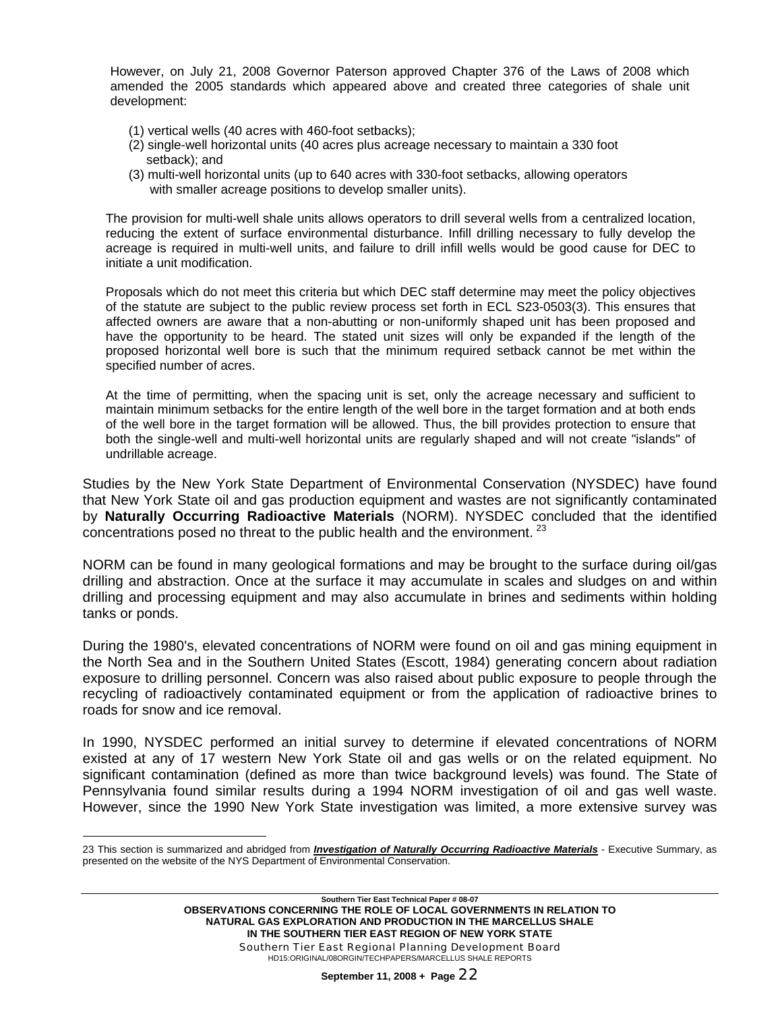However, on July 21, 2008 Governor Paterson approved Chapter 376 of the Laws of 2008 which amended the 2005 standards which appeared above and created three categories of shale unit development:

- (1) vertical wells (40 acres with 460-foot setbacks);
- (2) single-well horizontal units (40 acres plus acreage necessary to maintain a 330 foot setback); and
- (3) multi-well horizontal units (up to 640 acres with 330-foot setbacks, allowing operators with smaller acreage positions to develop smaller units).

The provision for multi-well shale units allows operators to drill several wells from a centralized location, reducing the extent of surface environmental disturbance. Infill drilling necessary to fully develop the acreage is required in multi-well units, and failure to drill infill wells would be good cause for DEC to initiate a unit modification.

Proposals which do not meet this criteria but which DEC staff determine may meet the policy objectives of the statute are subject to the public review process set forth in ECL S23-0503(3). This ensures that affected owners are aware that a non-abutting or non-uniformly shaped unit has been proposed and have the opportunity to be heard. The stated unit sizes will only be expanded if the length of the proposed horizontal well bore is such that the minimum required setback cannot be met within the specified number of acres.

At the time of permitting, when the spacing unit is set, only the acreage necessary and sufficient to maintain minimum setbacks for the entire length of the well bore in the target formation and at both ends of the well bore in the target formation will be allowed. Thus, the bill provides protection to ensure that both the single-well and multi-well horizontal units are regularly shaped and will not create "islands" of undrillable acreage.

Studies by the New York State Department of Environmental Conservation (NYSDEC) have found that New York State oil and gas production equipment and wastes are not significantly contaminated by **Naturally Occurring Radioactive Materials** (NORM). NYSDEC concluded that the identified concentrations posed no threat to the public health and the environment.  $^{23}$  $^{23}$  $^{23}$ 

NORM can be found in many geological formations and may be brought to the surface during oil/gas drilling and abstraction. Once at the surface it may accumulate in scales and sludges on and within drilling and processing equipment and may also accumulate in brines and sediments within holding tanks or ponds.

During the 1980's, elevated concentrations of NORM were found on oil and gas mining equipment in the North Sea and in the Southern United States (Escott, 1984) generating concern about radiation exposure to drilling personnel. Concern was also raised about public exposure to people through the recycling of radioactively contaminated equipment or from the application of radioactive brines to roads for snow and ice removal.

In 1990, NYSDEC performed an initial survey to determine if elevated concentrations of NORM existed at any of 17 western New York State oil and gas wells or on the related equipment. No significant contamination (defined as more than twice background levels) was found. The State of Pennsylvania found similar results during a 1994 NORM investigation of oil and gas well waste. However, since the 1990 New York State investigation was limited, a more extensive survey was

<span id="page-21-0"></span> $\overline{a}$ 23 This section is summarized and abridged from *Investigation of Naturally Occurring Radioactive Materials* - Executive Summary, as presented on the website of the NYS Department of Environmental Conservation.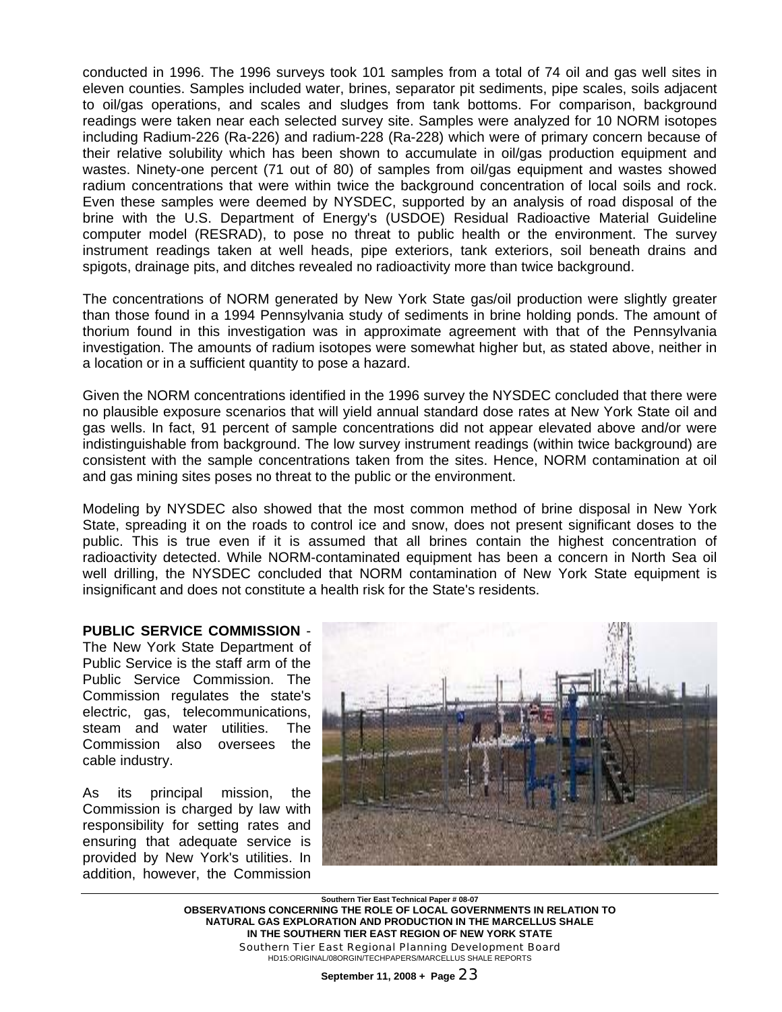conducted in 1996. The 1996 surveys took 101 samples from a total of 74 oil and gas well sites in eleven counties. Samples included water, brines, separator pit sediments, pipe scales, soils adjacent to oil/gas operations, and scales and sludges from tank bottoms. For comparison, background readings were taken near each selected survey site. Samples were analyzed for 10 NORM isotopes including Radium-226 (Ra-226) and radium-228 (Ra-228) which were of primary concern because of their relative solubility which has been shown to accumulate in oil/gas production equipment and wastes. Ninety-one percent (71 out of 80) of samples from oil/gas equipment and wastes showed radium concentrations that were within twice the background concentration of local soils and rock. Even these samples were deemed by NYSDEC, supported by an analysis of road disposal of the brine with the U.S. Department of Energy's (USDOE) Residual Radioactive Material Guideline computer model (RESRAD), to pose no threat to public health or the environment. The survey instrument readings taken at well heads, pipe exteriors, tank exteriors, soil beneath drains and spigots, drainage pits, and ditches revealed no radioactivity more than twice background.

The concentrations of NORM generated by New York State gas/oil production were slightly greater than those found in a 1994 Pennsylvania study of sediments in brine holding ponds. The amount of thorium found in this investigation was in approximate agreement with that of the Pennsylvania investigation. The amounts of radium isotopes were somewhat higher but, as stated above, neither in a location or in a sufficient quantity to pose a hazard.

Given the NORM concentrations identified in the 1996 survey the NYSDEC concluded that there were no plausible exposure scenarios that will yield annual standard dose rates at New York State oil and gas wells. In fact, 91 percent of sample concentrations did not appear elevated above and/or were indistinguishable from background. The low survey instrument readings (within twice background) are consistent with the sample concentrations taken from the sites. Hence, NORM contamination at oil and gas mining sites poses no threat to the public or the environment.

Modeling by NYSDEC also showed that the most common method of brine disposal in New York State, spreading it on the roads to control ice and snow, does not present significant doses to the public. This is true even if it is assumed that all brines contain the highest concentration of radioactivity detected. While NORM-contaminated equipment has been a concern in North Sea oil well drilling, the NYSDEC concluded that NORM contamination of New York State equipment is insignificant and does not constitute a health risk for the State's residents.

[cable indust](http://www.dps.state.ny.us/utilities.html)ry. **PUBLIC SERVICE COMMISSION** - The New York State Department of Public Service is the staff arm of the Public Service Commission. The Commission regulates the state's [electric, gas, telecommunications,](http://www.dps.state.ny.us/utilities.html)  [steam and water utilities.](http://www.dps.state.ny.us/utilities.html) The Commission also oversees the

As its principal mission, the Commission is charged by law with responsibility for setting rates and ensuring that adequate service is provided by New York's utilities. In addition, however, the Commission

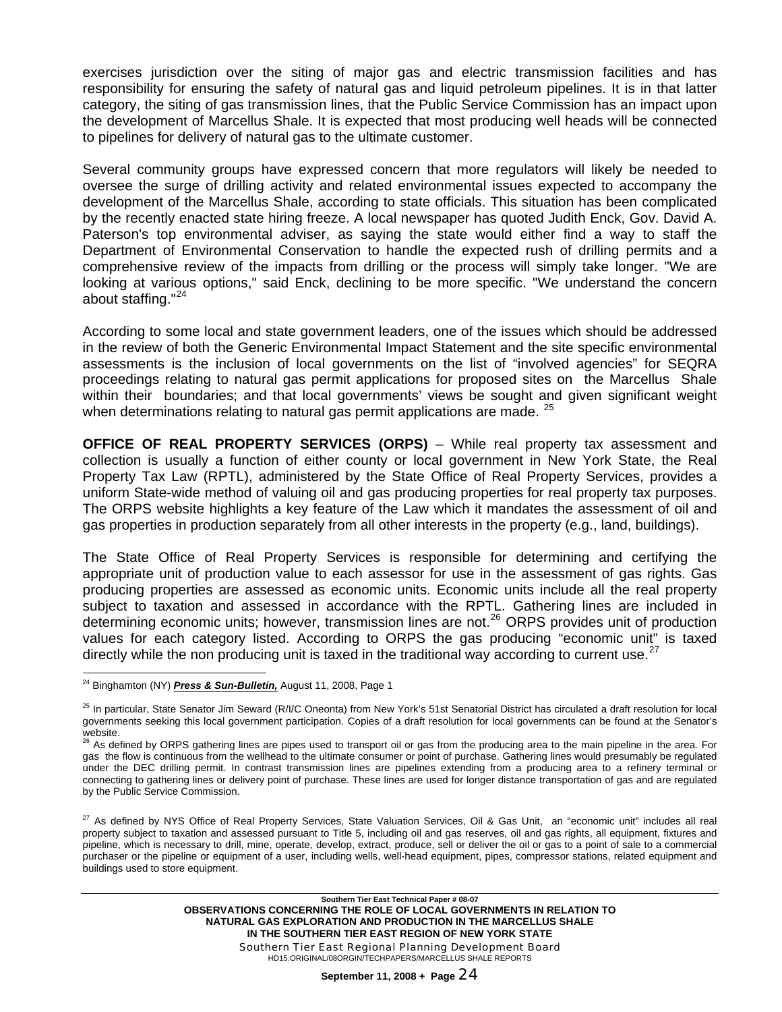to pipelines for delivery of natural gas to the ultimate customer. exercises jurisdiction over the [siting of major gas and electric transmission facilities](http://www.dps.state.ny.us/articlex.htm) and has responsibility for ensuring the safety of natural gas and liquid petroleum pipelines. It is in that latter category, the siting of gas transmission lines, that the Public Service Commission has an impact upon the development of Marcellus Shale. It is expected that most producing well heads will be connected

Several community groups have expressed concern that more regulators will likely be needed to oversee the surge of drilling activity and related environmental issues expected to accompany the development of the Marcellus Shale, according to state officials. This situation has been complicated by the recently enacted state hiring freeze. A local newspaper has quoted Judith Enck, Gov. David A. Paterson's top environmental adviser, as saying the state would either find a way to staff the Department of Environmental Conservation to handle the expected rush of drilling permits and a comprehensive review of the impacts from drilling or the process will simply take longer. "We are looking at various options," said Enck, declining to be more specific. "We understand the concern about staffing."<sup>[24](#page-23-0)</sup>

According to some local and state government leaders, one of the issues which should be addressed in the review of both the Generic Environmental Impact Statement and the site specific environmental assessments is the inclusion of local governments on the list of "involved agencies" for SEQRA proceedings relating to natural gas permit applications for proposed sites on the Marcellus Shale within their boundaries; and that local governments' views be sought and given significant weight when determinations relating to natural gas permit applications are made.  $25$ 

**OFFICE OF REAL PROPERTY SERVICES (ORPS)** – While real property tax assessment and collection is usually a function of either county or local government in New York State, the Real Property Tax Law (RPTL), administered by the State Office of Real Property Services, provides a uniform State-wide method of valuing oil and gas producing properties for real property tax purposes. The ORPS website highlights a key feature of the Law which it mandates the assessment of oil and gas properties in production separately from all other interests in the property (e.g., land, buildings).

The State Office of Real Property Services is responsible for determining and certifying the appropriate unit of production value to each assessor for use in the assessment of gas rights. Gas producing properties are assessed as economic units. Economic units include all the real property subject to taxation and assessed in accordance with the RPTL. [Gathering lines](http://www.orps.state.ny.us/sas/oil_gas/overview.htm#gathering_lines#gathering_lines) are included in determining economic units; however, [transmission lines](http://www.orps.state.ny.us/sas/oil_gas/overview.htm#transmission_lines#transmission_lines) are not.<sup>[26](#page-23-2)</sup> ORPS provides unit of production values for each category listed. According to ORPS the gas producing "economic unit" is taxed directly while the non producing unit is taxed in the traditional way according to current use.<sup>[27](#page-23-3)</sup>

 $\overline{a}$ 

<span id="page-23-0"></span><sup>24</sup> Binghamton (NY) *Press & Sun-Bulletin,* August 11, 2008, Page 1

<span id="page-23-1"></span><sup>&</sup>lt;sup>25</sup> In particular, State Senator Jim Seward (R/I/C Oneonta) from New York's 51st Senatorial District has circulated a draft resolution for local governments seeking this local government participation. Copies of a draft resolution for local governments can be found at the Senator's website.

<span id="page-23-2"></span> $^{\circ}$  As defined by ORPS gathering lines are pipes used to transport oil or gas from the producing area to the main pipeline in the area. For gas the flow is continuous from the wellhead to the ultimate consumer or point of purchase. Gathering lines would presumably be regulated under the DEC drilling permit. In contrast transmission lines are pipelines extending from a producing area to a refinery terminal or connecting to gathering lines or delivery point of purchase. These lines are used for longer distance transportation of gas and are regulated by the Public Service Commission.

<span id="page-23-3"></span><sup>&</sup>lt;sup>27</sup> As defined by NYS Office of Real Property Services, State Valuation Services, Oil & Gas Unit, an "economic unit" includes all real property subject to taxation and assessed pursuant to Title 5, including oil and gas reserves, oil and gas rights, all equipment, fixtures and pipeline, which is necessary to drill, mine, operate, develop, extract, produce, sell or deliver the oil or gas to a point of sale to a commercial purchaser or the pipeline or equipment of a user, including wells, well-head equipment, pipes, compressor stations, related equipment and buildings used to store equipment.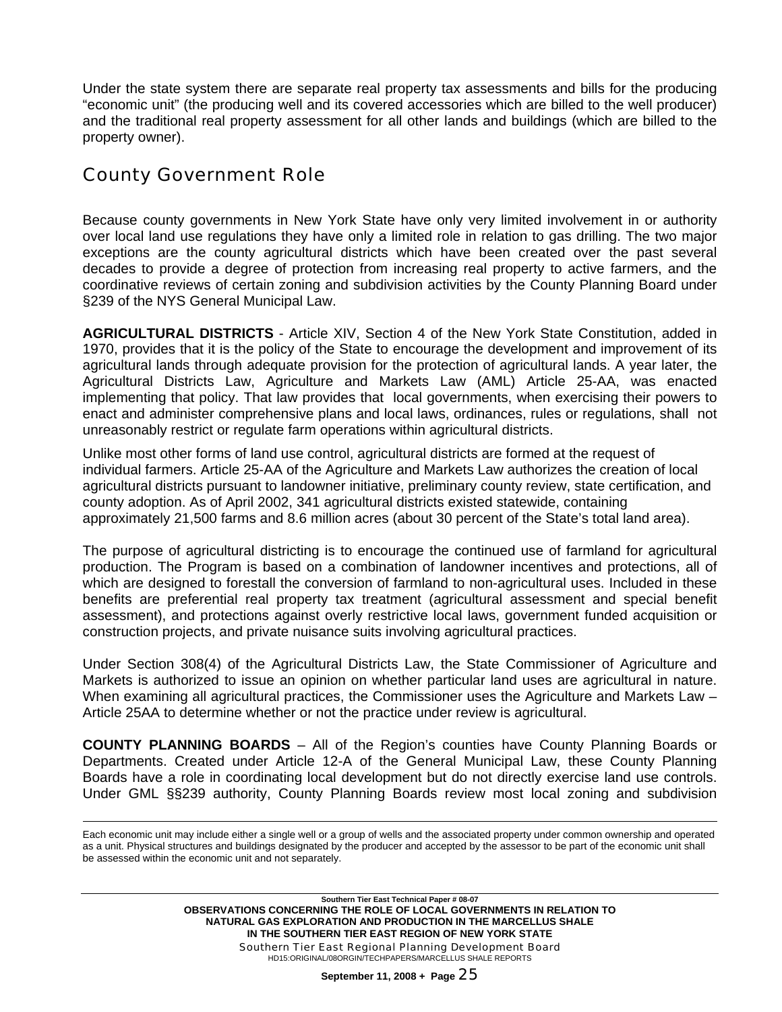Under the state system there are separate real property tax assessments and bills for the producing "economic unit" (the producing well and its covered accessories which are billed to the well producer) and the traditional real property assessment for all other lands and buildings (which are billed to the property owner).

## County Government Role

<u>.</u>

Because county governments in New York State have only very limited involvement in or authority over local land use regulations they have only a limited role in relation to gas drilling. The two major exceptions are the county agricultural districts which have been created over the past several decades to provide a degree of protection from increasing real property to active farmers, and the coordinative reviews of certain zoning and subdivision activities by the County Planning Board under §239 of the NYS General Municipal Law.

**AGRICULTURAL DISTRICTS** - Article XIV, Section 4 of the New York State Constitution, added in 1970, provides that it is the policy of the State to encourage the development and improvement of its agricultural lands through adequate provision for the protection of agricultural lands. A year later, the Agricultural Districts Law, Agriculture and Markets Law (AML) Article 25-AA, was enacted implementing that policy. That law provides that local governments, when exercising their powers to enact and administer comprehensive plans and local laws, ordinances, rules or regulations, shall not unreasonably restrict or regulate farm operations within agricultural districts.

Unlike most other forms of land use control, agricultural districts are formed at the request of individual farmers. Article 25-AA of the Agriculture and Markets Law authorizes the creation of local agricultural districts pursuant to landowner initiative, preliminary county review, state certification, and county adoption. As of April 2002, 341 agricultural districts existed statewide, containing approximately 21,500 farms and 8.6 million acres (about 30 percent of the State's total land area).

The purpose of agricultural districting is to encourage the continued use of farmland for agricultural production. The Program is based on a combination of landowner incentives and protections, all of which are designed to forestall the conversion of farmland to non-agricultural uses. Included in these benefits are preferential real property tax treatment (agricultural assessment and special benefit assessment), and protections against overly restrictive local laws, government funded acquisition or construction projects, and private nuisance suits involving agricultural practices.

Under Section 308(4) of the Agricultural Districts Law, the State Commissioner of Agriculture and Markets is authorized to issue an opinion on whether particular land uses are agricultural in nature. When examining all agricultural practices, the Commissioner uses the Agriculture and Markets Law – Article 25AA to determine whether or not the practice under review is agricultural.

**COUNTY PLANNING BOARDS** – All of the Region's counties have County Planning Boards or Departments. Created under Article 12-A of the General Municipal Law, these County Planning Boards have a role in coordinating local development but do not directly exercise land use controls. Under GML §§239 authority, County Planning Boards review most local zoning and subdivision

Each economic unit may include either a single well or a group of wells and the associated property under common ownership and operated as a unit. Physical structures and buildings designated by the producer and accepted by the assessor to be part of the economic unit shall be assessed within the economic unit and not separately.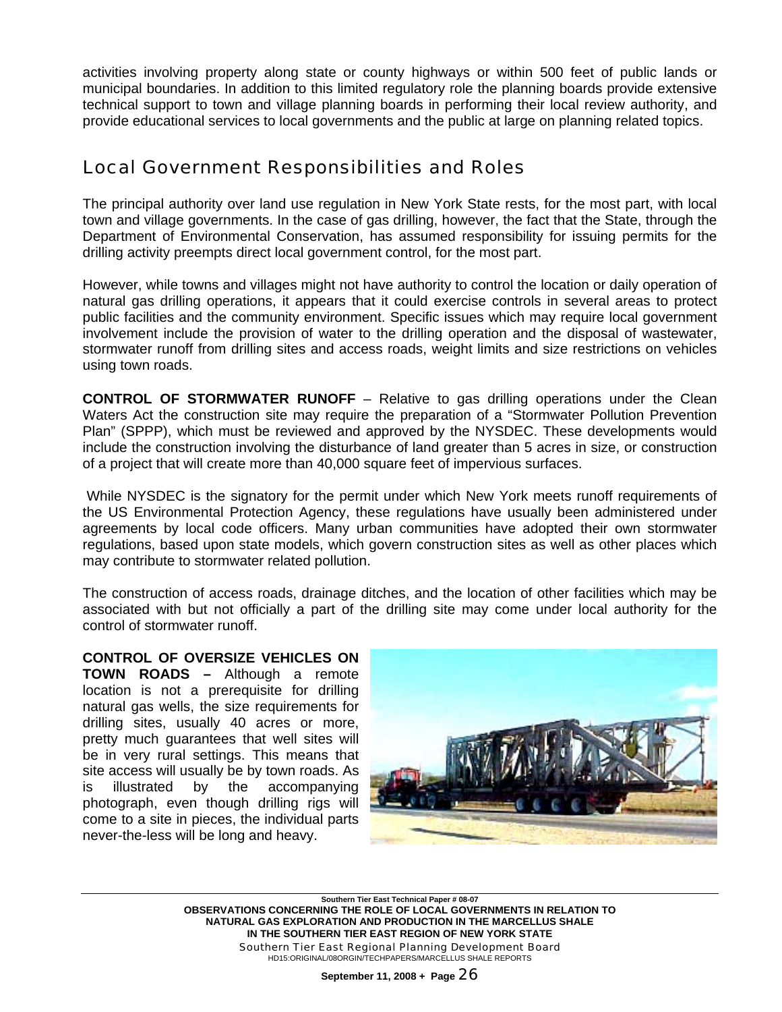activities involving property along state or county highways or within 500 feet of public lands or municipal boundaries. In addition to this limited regulatory role the planning boards provide extensive technical support to town and village planning boards in performing their local review authority, and provide educational services to local governments and the public at large on planning related topics.

## Local Government Responsibilities and Roles

The principal authority over land use regulation in New York State rests, for the most part, with local town and village governments. In the case of gas drilling, however, the fact that the State, through the Department of Environmental Conservation, has assumed responsibility for issuing permits for the drilling activity preempts direct local government control, for the most part.

However, while towns and villages might not have authority to control the location or daily operation of natural gas drilling operations, it appears that it could exercise controls in several areas to protect public facilities and the community environment. Specific issues which may require local government involvement include the provision of water to the drilling operation and the disposal of wastewater, stormwater runoff from drilling sites and access roads, weight limits and size restrictions on vehicles using town roads.

**CONTROL OF STORMWATER RUNOFF** – Relative to gas drilling operations under the Clean Waters Act the construction site may require the preparation of a "Stormwater Pollution Prevention Plan" (SPPP), which must be reviewed and approved by the NYSDEC. These developments would include the construction involving the disturbance of land greater than 5 acres in size, or construction of a project that will create more than 40,000 square feet of impervious surfaces.

 While NYSDEC is the signatory for the permit under which New York meets runoff requirements of the US Environmental Protection Agency, these regulations have usually been administered under agreements by local code officers. Many urban communities have adopted their own stormwater regulations, based upon state models, which govern construction sites as well as other places which may contribute to stormwater related pollution.

The construction of access roads, drainage ditches, and the location of other facilities which may be associated with but not officially a part of the drilling site may come under local authority for the control of stormwater runoff.

never-the-less will be long and heavy. **CONTROL OF OVERSIZE VEHICLES ON TOWN ROADS –** Although a remote location is not a prerequisite for drilling natural gas wells, the size requirements for drilling sites, usually 40 acres or more, pretty much guarantees that well sites will be in very rural settings. This means that site access will usually be by town roads. As is illustrated by the accompanying photograph, even though drilling rigs will come to a site in pieces, the individual parts

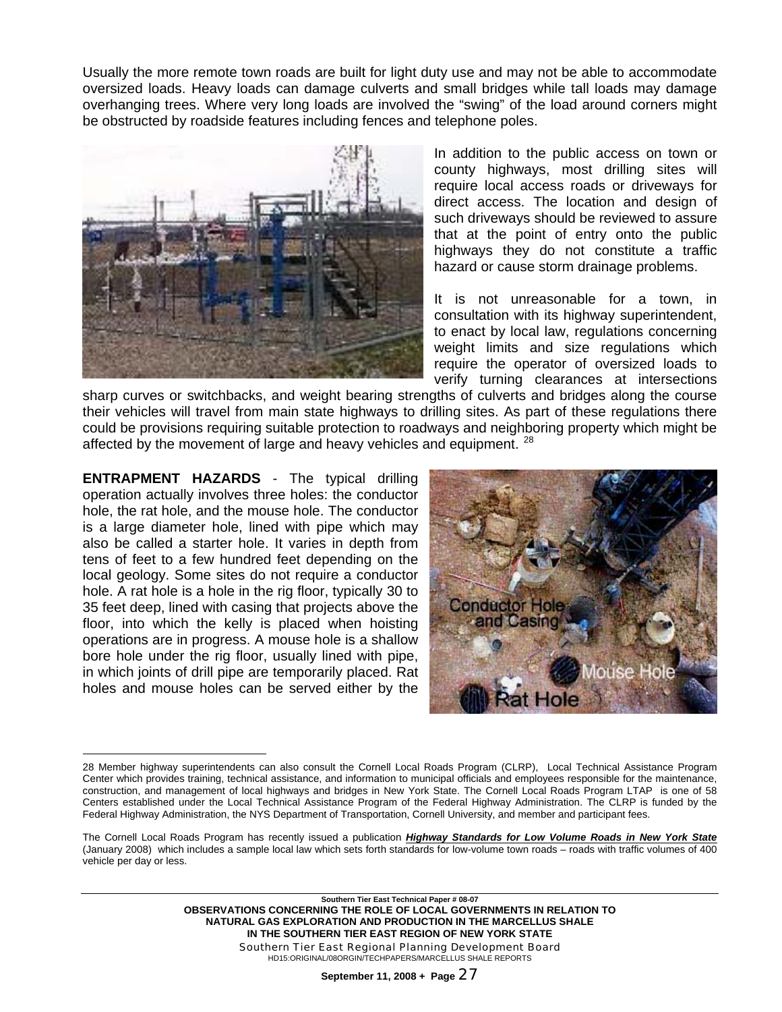Usually the more remote town roads are built for light duty use and may not be able to accommodate oversized loads. Heavy loads can damage culverts and small bridges while tall loads may damage overhanging trees. Where very long loads are involved the "swing" of the load around corners might be obstructed by roadside features including fences and telephone poles.



In addition to the public access on town or county highways, most drilling sites will require local access roads or driveways for direct access. The location and design of such driveways should be reviewed to assure that at the point of entry onto the public highways they do not constitute a traffic hazard or cause storm drainage problems.

It is not unreasonable for a town, in consultation with its highway superintendent, to enact by local law, regulations concerning weight limits and size regulations which require the operator of oversized loads to verify turning clearances at intersections

sharp curves or switchbacks, and weight bearing strengths of culverts and bridges along the course their vehicles will travel from main state highways to drilling sites. As part of these regulations there could be provisions requiring suitable protection to roadways and neighboring property which might be affected by the movement of large and heavy vehicles and equipment. <sup>[28](#page-26-0)</sup>

**ENTRAPMENT HAZARDS** - The typical drilling operation actually involves three holes: the conductor hole, the rat hole, and the mouse hole. The conductor is a large diameter hole, lined with pipe which may also be called a starter hole. It varies in depth from tens of feet to a few hundred feet depending on the local geology. Some sites do not require a conductor hole. A [rat hole](http://www.osha.gov/SLTC/etools/oilandgas/illustrated_glossary/rathole.html) is a hole in the rig floor, typically 30 to 35 feet deep, lined with casing that projects above the floor, into which the [kelly](http://www.osha.gov/SLTC/etools/oilandgas/illustrated_glossary/kelly.html) is placed when hoisting operations are in progress. A [mouse hole](http://www.osha.gov/SLTC/etools/oilandgas/illustrated_glossary/mousehole.html) is a shallow bore hole under the rig floor, usually lined with pipe, in which joints of drill pipe are temporarily placed. Rat holes and mouse holes can be served either by the

<span id="page-26-0"></span> $\overline{a}$ 



<sup>28</sup> Member highway superintendents can also consult the Cornell Local Roads Program (CLRP), Local Technical Assistance Program Center which provides training, technical assistance, and information to municipal officials and employees responsible for the maintenance, construction, and management of local highways and bridges in New York State. The Cornell Local Roads Program LTAP is one of 58 Centers established under the Local Technical Assistance Program of the Federal Highway Administration. The CLRP is funded by the Federal Highway Administration, the NYS Department of Transportation, Cornell University, and member and participant fees.

The Cornell Local Roads Program has recently issued a publication *Highway Standards for Low Volume Roads in New York State* (January 2008) which includes a sample local law which sets forth standards for low-volume town roads – roads with traffic volumes of 400 vehicle per day or less.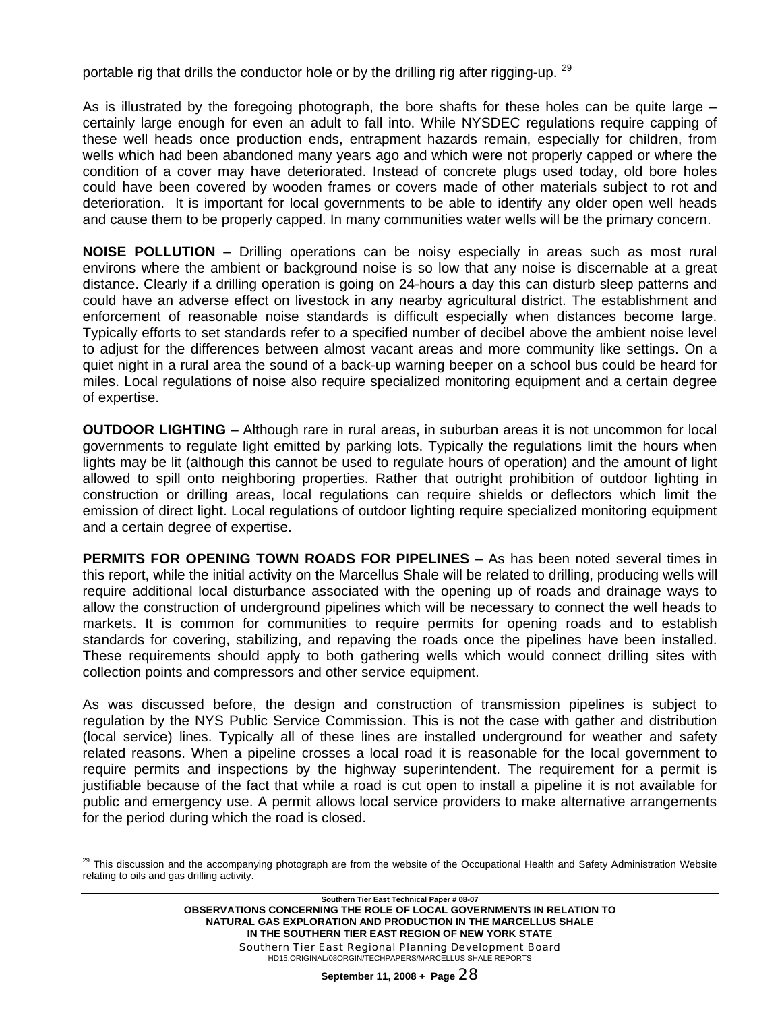portable rig that drills the conductor hole or by the drilling rig after rigging-up.  $^{29}$ 

As is illustrated by the foregoing photograph, the bore shafts for these holes can be quite large – certainly large enough for even an adult to fall into. While NYSDEC regulations require capping of these well heads once production ends, entrapment hazards remain, especially for children, from wells which had been abandoned many years ago and which were not properly capped or where the condition of a cover may have deteriorated. Instead of concrete plugs used today, old bore holes could have been covered by wooden frames or covers made of other materials subject to rot and deterioration. It is important for local governments to be able to identify any older open well heads and cause them to be properly capped. In many communities water wells will be the primary concern.

**NOISE POLLUTION** – Drilling operations can be noisy especially in areas such as most rural environs where the ambient or background noise is so low that any noise is discernable at a great distance. Clearly if a drilling operation is going on 24-hours a day this can disturb sleep patterns and could have an adverse effect on livestock in any nearby agricultural district. The establishment and enforcement of reasonable noise standards is difficult especially when distances become large. Typically efforts to set standards refer to a specified number of decibel above the ambient noise level to adjust for the differences between almost vacant areas and more community like settings. On a quiet night in a rural area the sound of a back-up warning beeper on a school bus could be heard for miles. Local regulations of noise also require specialized monitoring equipment and a certain degree of expertise.

**OUTDOOR LIGHTING** – Although rare in rural areas, in suburban areas it is not uncommon for local governments to regulate light emitted by parking lots. Typically the regulations limit the hours when lights may be lit (although this cannot be used to regulate hours of operation) and the amount of light allowed to spill onto neighboring properties. Rather that outright prohibition of outdoor lighting in construction or drilling areas, local regulations can require shields or deflectors which limit the emission of direct light. Local regulations of outdoor lighting require specialized monitoring equipment and a certain degree of expertise.

**PERMITS FOR OPENING TOWN ROADS FOR PIPELINES** – As has been noted several times in this report, while the initial activity on the Marcellus Shale will be related to drilling, producing wells will require additional local disturbance associated with the opening up of roads and drainage ways to allow the construction of underground pipelines which will be necessary to connect the well heads to markets. It is common for communities to require permits for opening roads and to establish standards for covering, stabilizing, and repaving the roads once the pipelines have been installed. These requirements should apply to both gathering wells which would connect drilling sites with collection points and compressors and other service equipment.

As was discussed before, the design and construction of transmission pipelines is subject to regulation by the NYS Public Service Commission. This is not the case with gather and distribution (local service) lines. Typically all of these lines are installed underground for weather and safety related reasons. When a pipeline crosses a local road it is reasonable for the local government to require permits and inspections by the highway superintendent. The requirement for a permit is justifiable because of the fact that while a road is cut open to install a pipeline it is not available for public and emergency use. A permit allows local service providers to make alternative arrangements for the period during which the road is closed.

 $\overline{a}$ <sup>29</sup> This discussion and the accompanying photograph are from the website of the Occupational Health and Safety Administration Website relating to oils and gas drilling activity.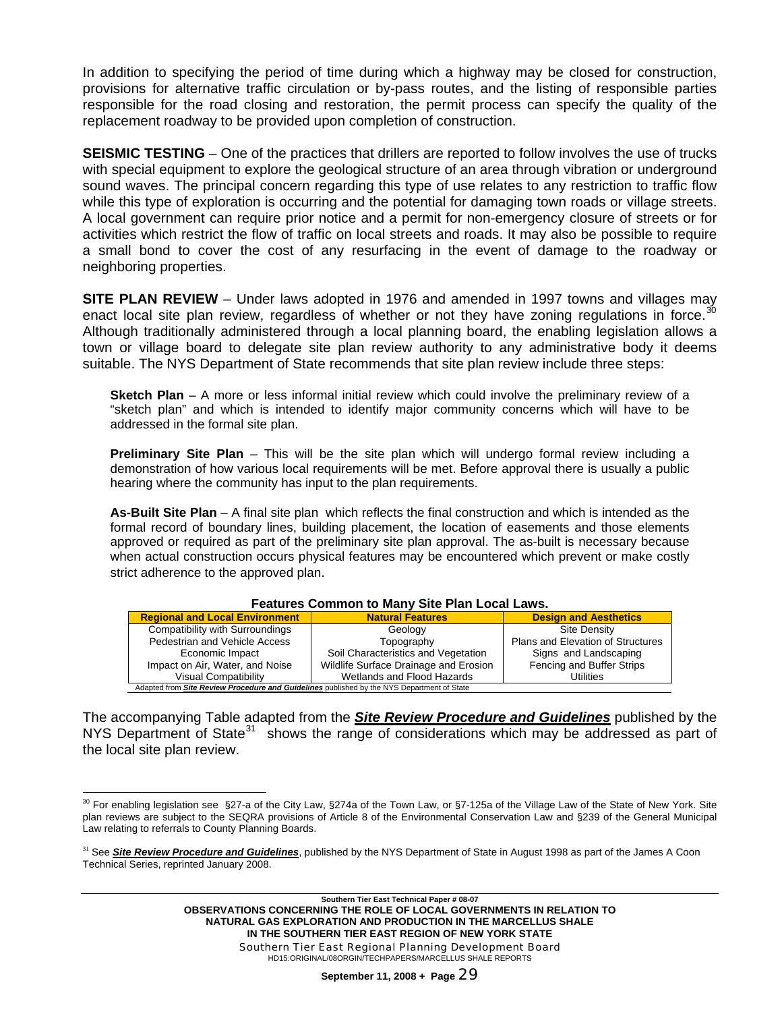In addition to specifying the period of time during which a highway may be closed for construction, provisions for alternative traffic circulation or by-pass routes, and the listing of responsible parties responsible for the road closing and restoration, the permit process can specify the quality of the replacement roadway to be provided upon completion of construction.

**SEISMIC TESTING** – One of the practices that drillers are reported to follow involves the use of trucks with special equipment to explore the geological structure of an area through vibration or underground sound waves. The principal concern regarding this type of use relates to any restriction to traffic flow while this type of exploration is occurring and the potential for damaging town roads or village streets. A local government can require prior notice and a permit for non-emergency closure of streets or for activities which restrict the flow of traffic on local streets and roads. It may also be possible to require a small bond to cover the cost of any resurfacing in the event of damage to the roadway or neighboring properties.

**SITE PLAN REVIEW** – Under laws adopted in 1976 and amended in 1997 towns and villages may enact local site plan review, regardless of whether or not they have zoning regulations in force.<sup>[30](#page-28-0)</sup> Although traditionally administered through a local planning board, the enabling legislation allows a town or village board to delegate site plan review authority to any administrative body it deems suitable. The NYS Department of State recommends that site plan review include three steps:

**Sketch Plan** – A more or less informal initial review which could involve the preliminary review of a "sketch plan" and which is intended to identify major community concerns which will have to be addressed in the formal site plan.

**Preliminary Site Plan** – This will be the site plan which will undergo formal review including a demonstration of how various local requirements will be met. Before approval there is usually a public hearing where the community has input to the plan requirements.

**As-Built Site Plan** – A final site plan which reflects the final construction and which is intended as the formal record of boundary lines, building placement, the location of easements and those elements approved or required as part of the preliminary site plan approval. The as-built is necessary because when actual construction occurs physical features may be encountered which prevent or make costly strict adherence to the approved plan.

| I GALUIGS COMMICHER MANY ONG I TAN LOCAL LAWS. |                                                                                            |                                       |                                          |  |  |
|------------------------------------------------|--------------------------------------------------------------------------------------------|---------------------------------------|------------------------------------------|--|--|
|                                                | <b>Regional and Local Environment</b>                                                      | <b>Natural Features</b>               | <b>Design and Aesthetics</b>             |  |  |
|                                                | Compatibility with Surroundings                                                            | Geology                               | Site Density                             |  |  |
|                                                | Pedestrian and Vehicle Access                                                              | Topography                            | <b>Plans and Elevation of Structures</b> |  |  |
|                                                | Economic Impact                                                                            | Soil Characteristics and Vegetation   | Signs and Landscaping                    |  |  |
|                                                | Impact on Air, Water, and Noise                                                            | Wildlife Surface Drainage and Erosion | Fencing and Buffer Strips                |  |  |
|                                                | <b>Visual Compatibility</b>                                                                | Wetlands and Flood Hazards            | Utilities                                |  |  |
|                                                | Adapted from Site Review Procedure and Guidelines published by the NYS Department of State |                                       |                                          |  |  |

#### **Features Common to Many Site Plan Local Laws.**

The accompanying Table adapted from the *Site Review Procedure and Guidelines* published by the NYS Department of State<sup>[31](#page-28-1)</sup> shows the range of considerations which may be addressed as part of the local site plan review.

 $\overline{a}$ 

<span id="page-28-0"></span> $^{30}$  For enabling legislation see §27-a of the City Law, §274a of the Town Law, or §7-125a of the Village Law of the State of New York. Site plan reviews are subject to the SEQRA provisions of Article 8 of the Environmental Conservation Law and §239 of the General Municipal Law relating to referrals to County Planning Boards.

<span id="page-28-1"></span><sup>&</sup>lt;sup>31</sup> See **Site Review Procedure and Guidelines**, published by the NYS Department of State in August 1998 as part of the James A Coon Technical Series, reprinted January 2008.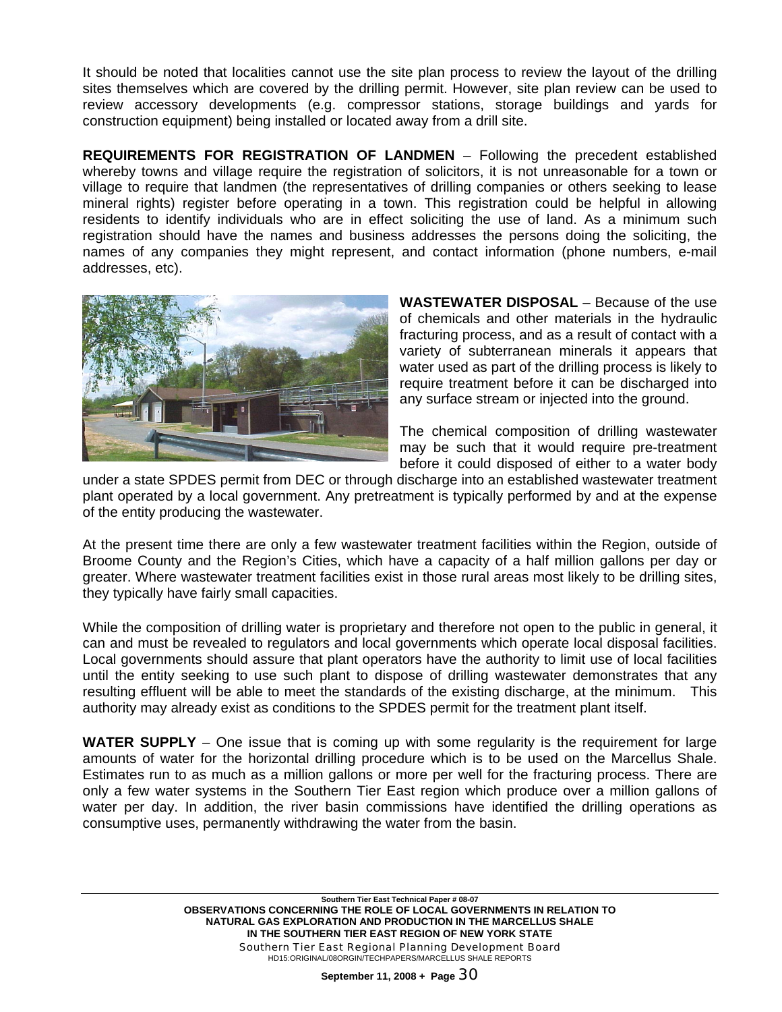It should be noted that localities cannot use the site plan process to review the layout of the drilling sites themselves which are covered by the drilling permit. However, site plan review can be used to review accessory developments (e.g. compressor stations, storage buildings and yards for construction equipment) being installed or located away from a drill site.

**REQUIREMENTS FOR REGISTRATION OF LANDMEN** – Following the precedent established whereby towns and village require the registration of solicitors, it is not unreasonable for a town or village to require that landmen (the representatives of drilling companies or others seeking to lease mineral rights) register before operating in a town. This registration could be helpful in allowing residents to identify individuals who are in effect soliciting the use of land. As a minimum such registration should have the names and business addresses the persons doing the soliciting, the names of any companies they might represent, and contact information (phone numbers, e-mail addresses, etc).



**WASTEWATER DISPOSAL** – Because of the use of chemicals and other materials in the hydraulic fracturing process, and as a result of contact with a variety of subterranean minerals it appears that water used as part of the drilling process is likely to require treatment before it can be discharged into any surface stream or injected into the ground.

The chemical composition of drilling wastewater may be such that it would require pre-treatment before it could disposed of either to a water body

under a state SPDES permit from DEC or through discharge into an established wastewater treatment plant operated by a local government. Any pretreatment is typically performed by and at the expense of the entity producing the wastewater.

At the present time there are only a few wastewater treatment facilities within the Region, outside of Broome County and the Region's Cities, which have a capacity of a half million gallons per day or greater. Where wastewater treatment facilities exist in those rural areas most likely to be drilling sites, they typically have fairly small capacities.

While the composition of drilling water is proprietary and therefore not open to the public in general, it can and must be revealed to regulators and local governments which operate local disposal facilities. Local governments should assure that plant operators have the authority to limit use of local facilities until the entity seeking to use such plant to dispose of drilling wastewater demonstrates that any resulting effluent will be able to meet the standards of the existing discharge, at the minimum. This authority may already exist as conditions to the SPDES permit for the treatment plant itself.

WATER SUPPLY - One issue that is coming up with some regularity is the requirement for large amounts of water for the horizontal drilling procedure which is to be used on the Marcellus Shale. Estimates run to as much as a million gallons or more per well for the fracturing process. There are only a few water systems in the Southern Tier East region which produce over a million gallons of water per day. In addition, the river basin commissions have identified the drilling operations as consumptive uses, permanently withdrawing the water from the basin.